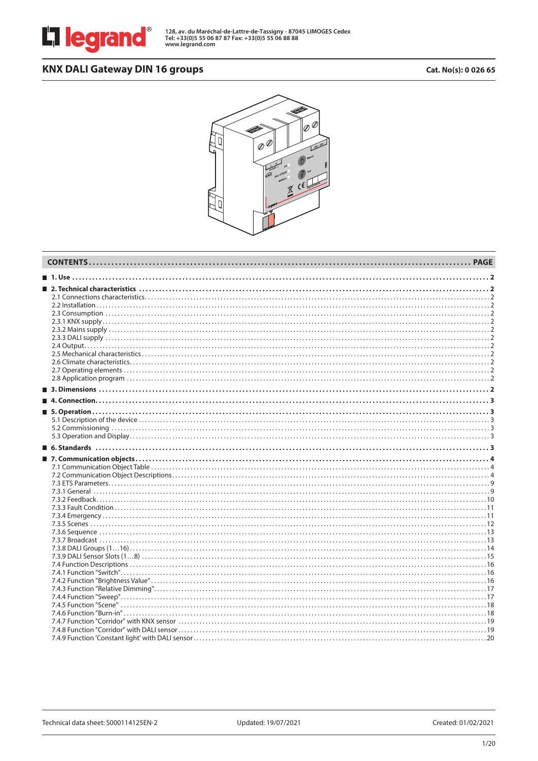

**128, av. du Maréchal-de-Lattre-de-Tassigny - 87045 LIMOGES Cedex Tel: +33(0)5 55 06 87 87 Fax: +33(0)5 55 06 88 88 www.legrand.com**

# KNX DALI Gateway DIN 16 groups **CALI GATE 2006 65** Cat. No(s): 0 026 65

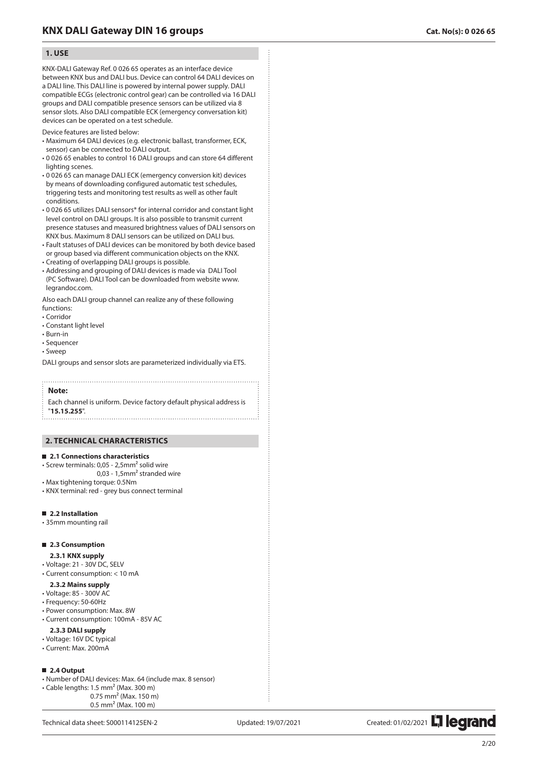## **1 . USE**

KNX-DALI Gateway Ref. 0 026 65 operates as an interface device between KNX bus and DALI bus. Device can control 64 DALI devices on a DALI line. This DALI line is powered by internal power supply. DALI compatible ECGs (electronic control gear) can be controlled via 16 DALI groups and DALI compatible presence sensors can be utilized via 8 sensor slots. Also DALI compatible ECK (emergency conversation kit) devices can be operated on a test schedule.

Device features are listed below:

- Maximum 64 DALI devices (e.g. electronic ballast, transformer, ECK, sensor) can be connected to DALI output.
- 0 026 65 enables to control 16 DALI groups and can store 64 different lighting scenes.
- 0 026 65 can manage DALI ECK (emergency conversion kit) devices by means of downloading configured automatic test schedules, triggering tests and monitoring test results as well as other fault conditions.
- 0 026 65 utilizes DALI sensors\* for internal corridor and constant light level control on DALI groups. It is also possible to transmit current presence statuses and measured brightness values of DALI sensors on KNX bus. Maximum 8 DALI sensors can be utilized on DALI bus.
- Fault statuses of DALI devices can be monitored by both device based or group based via different communication objects on the KNX.
- Creating of overlapping DALI groups is possible.
- Addressing and grouping of DALI devices is made via DALI Tool (PC Software). DALI Tool can be downloaded from website www. legrandoc.com.

Also each DALI group channel can realize any of these following functions:

- Corridor
- Constant light level
- Burn-in
- Sequencer
- Sweep

DALI groups and sensor slots are parameterized individually via ETS.

#### **Note:**

Each channel is uniform. Device factory default physical address is "**15.15.255**".

## **2 . TECHNICAL CHARACTERISTICS**

### **2.1 Connections characteristics**

- Screw terminals: 0,05 2,5mm² solid wire
- 0,03 1,5mm² stranded wire
- Max tightening torque: 0.5Nm
- KNX terminal: red grey bus connect terminal

### **2.2 Installation**

• 35mm mounting rail

## **2.3 Consumption**

- **2.3.1 KNX supply**
- Voltage: 21 30V DC, SELV
- Current consumption: < 10 mA
- **2.3.2 Mains supply**
- Voltage: 85 300V AC
- Frequency: 50-60Hz
- Power consumption: Max. 8W
- Current consumption: 100mA 85V AC

## **2.3.3 DALI supply**

- Voltage: 16V DC typical
- Current: Max. 200mA

## **2.4 Output**

• Number of DALI devices: Max. 64 (include max. 8 sensor)

0.5 mm 2 (Max. 100 m)

 $\cdot$  Cable lengths: 1.5 mm<sup>2</sup> (Max. 300 m) 0.75 mm 2 (Max. 150 m)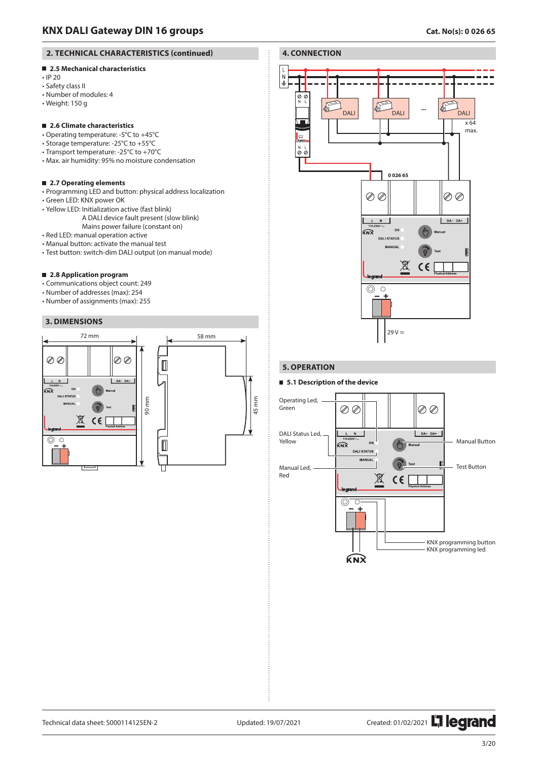## **2. TECHNICAL CHARACTERISTICS (continued)**

## **2.5 Mechanical characteristics**

- IP 20
- Safety class II
- Number of modules: 4
- Weight: 150 g

## **2.6 Climate characteristics**

- Operating temperature: -5°C to +45°C
- Storage temperature: -25°C to +55°C
- Transport temperature: -25°C to +70°C
- Max. air humidity: 95% no moisture condensation

## **2.7 Operating elements**

- Programming LED and button: physical address localization
- Green LED: KNX power OK
- Yellow LED: Initialization active (fast blink)
	- A DALI device fault present (slow blink)
	- Mains power failure (constant on)
- Red LED: manual operation active
- Manual button: activate the manual test
- Test button: switch-dim DALI output (on manual mode)

## **2.8 Application program**

- Communications object count: 249
- Number of addresses (max): 254
- Number of assignments (max): 255

## **3. DIMENSIONS**





## **5. OPERATION**

## **5.1 Description of the device**



Technical data sheet: S000114125EN-2 Updated: 19/07/2021 Created: 01/02/2021 Created: 01/02/2021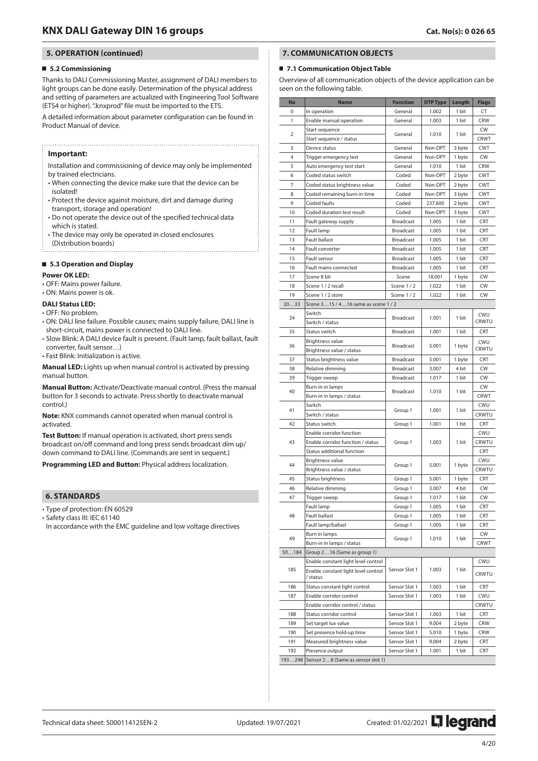## **5. OPERATION (continued)**

### **5.2 Commissioning**

Thanks to DALI Commissioning Master, assignment of DALI members to light groups can be done easily. Determination of the physical address and setting of parameters are actualized with Engineering Tool Software (ETS4 or higher). ".knxprod" file must be imported to the ETS.

A detailed information about parameter configuration can be found in Product Manual of device.

### **Important:**

Installation and commissioning of device may only be implemented by trained electricians.

- When connecting the device make sure that the device can be isolated!
- Protect the device against moisture, dirt and damage during transport, storage and operation!
- Do not operate the device out of the specified technical data which is stated.
- The device may only be operated in closed enclosures (Distribution boards)

# **5.3 Operation and Display**

## **Power OK LED:**

- 
- OFF: Mains power failure.
- ON: Mains power is ok.

## **DALI Status LED:**

- OFF: No problem.
- ON: DALI line failure. Possible causes; mains supply failure, DALI line is short-circuit, mains power is connected to DALI line.
- Slow Blink: A DALI device fault is present. (Fault lamp, fault ballast, fault converter, fault sensor…)
- Fast Blink: Initialization is active.

**Manual LED:** Lights up when manual control is activated by pressing manual button.

**Manual Button:** Activate/Deactivate manual control. (Press the manual button for 3 seconds to activate. Press shortly to deactivate manual control.)

**Note:** KNX commands cannot operated when manual control is activated.

**Test Button:** If manual operation is activated, short press sends broadcast on/off command and long press sends broadcast dim up/ down command to DALI line. (Commands are sent in sequent.)

**Programming LED and Button:** Physical address localization.

## **6. STANDARDS**

• Type of protection: EN 60529

• Safety class III: IEC 61140

In accordance with the EMC guideline and low voltage directives

## **7. COMMUNICATION OBJECTS**

#### ■ 7.1 Communication Object Table

Overview of all communication objects of the device application can be seen on the following table.

| No    | <b>Name</b>                                | <b>Function</b>  | <b>DTP Type</b> | Length | <b>Flags</b> |
|-------|--------------------------------------------|------------------|-----------------|--------|--------------|
| 0     | In operation                               | General          | 1.002           | 1 bit  | CT           |
| 1     | Enable manual operation                    | General          | 1.003           | 1 bit  | <b>CRW</b>   |
|       | Start sequence                             | General          |                 | 1 bit  | CW           |
| 2     | Start sequence / status                    |                  | 1.010           |        | <b>CRWT</b>  |
| 3     | Device status                              | General          | Non-DPT         | 3 byte | <b>CWT</b>   |
| 4     | Trigger emergency test                     | General          | Non-DPT         | 1 byte | CW           |
| 5     | Auto emergency test start                  | General          | 1.010           | 1 bit  | <b>CRW</b>   |
| 6     | Coded status switch                        | Coded            | Non-DPT         | 2 byte | <b>CWT</b>   |
| 7     | Coded status brightness value              | Coded            | Non-DPT         | 2 byte | <b>CWT</b>   |
| 8     | Coded remaining burn-in time               | Coded            | Non-DPT         | 3 byte | <b>CWT</b>   |
| 9     | Coded faults                               | Coded            | 237.600         | 2 byte | <b>CWT</b>   |
| 10    | Coded duration test result                 | Coded            | Non-DPT         | 3 byte | <b>CWT</b>   |
| 11    | Fault gateway supply                       | <b>Broadcast</b> | 1.005           | 1 bit  | CRT          |
| 12    | Fault lamp                                 | <b>Broadcast</b> | 1.005           | 1 bit  | CRT          |
| 13    | <b>Fault ballast</b>                       | <b>Broadcast</b> | 1.005           | 1 bit  | <b>CRT</b>   |
| 14    | Fault converter                            | <b>Broadcast</b> | 1.005           | 1 bit  | <b>CRT</b>   |
| 15    | Fault sensor                               | <b>Broadcast</b> | 1.005           | 1 bit  | CRT          |
| 16    | Fault mains connected                      | <b>Broadcast</b> | 1.005           | 1 bit  | <b>CRT</b>   |
| 17    | Scene 8 bit                                | Scene            | 18.001          | 1 byte | CW           |
| 18    | Scene 1 / 2 recall                         | Scene 1/2        | 1.022           | 1 bit  | CW           |
| 19    | Scene 1 / 2 store                          | Scene 1/2        | 1.022           | 1 bit  | CW           |
| 2033  | Scene 315 / 416 same as scene 1 / 2        |                  |                 |        |              |
| 34    | Switch                                     | <b>Broadcast</b> | 1.001           | 1 bit  | CWU          |
|       | Switch / status                            |                  |                 |        | CRWTU        |
| 35    | Status switch                              | <b>Broadcast</b> | 1.001           | 1 bit  | CRT          |
| 36    | <b>Brightness value</b>                    | <b>Broadcast</b> | 5.001           | 1 byte | CWU          |
|       | Brightness value / status                  |                  |                 |        | CRWTU        |
| 37    | Status brightness value                    | <b>Broadcast</b> | 5.001           | 1 byte | CRT          |
| 38    | Relative dimming                           | <b>Broadcast</b> | 3.007           | 4 bit  | CW           |
| 39    | Trigger sweep                              | <b>Broadcast</b> | 1.017           | 1 bit  | CW           |
| 40    | Burn-in in lamps                           | <b>Broadcast</b> | 1.010           | 1 bit  | CW           |
|       | Burn-in in lamps / status                  |                  |                 |        | <b>CRWT</b>  |
| 41    | Switch                                     | Group 1<br>1.001 |                 | 1 bit  | CWU          |
|       | Switch / status                            |                  |                 |        | CRWTU        |
| 42    | Status switch                              | Group 1          | 1.001           | 1 bit  | CRT          |
|       | Enable corridor function                   |                  |                 |        | CWU          |
| 43    | Enable corridor function / status          | Group 1          | 1.003           | 1 bit  | CRWTU        |
|       | Status additional function                 |                  |                 |        | CRT          |
| 44    | Brightness value                           | Group 1          | 5.001           |        | CWU          |
|       | Brightness value / status                  |                  |                 | 1 byte | CRWTU        |
| 45    | Status brightness                          | Group 1          | 5.001           | 1 byte | CRT          |
| 46    | Relative dimming                           | Group 1          | 3.007           | 4 bit  | CW           |
| 47    | Trigger sweep                              | Group 1          | 1.017           | 1 bit  | <b>CW</b>    |
|       | Fault lamp                                 | Group 1          | 1.005           | 1 bit  | CRT          |
| 48    | Fault ballast                              | Group 1          | 1.005           | 1 bit  | CRT          |
|       | Fault lamp/ballast                         | Group 1          | 1.005           | 1 bit  | CRT          |
|       | Burn in lamps                              |                  |                 |        | <b>CW</b>    |
| 49    | Burn-in in lamps / status                  | Group 1          | 1.010           | 1 bit  | CRWT         |
| 50184 | Group 216 (Same as group 1)                |                  |                 |        |              |
|       | Enable constant light level control        |                  |                 |        | CWU          |
| 185   | Enable constant light level control        | Sensor Slot 1    | 1.003           | 1 bit  | CRWTU        |
|       | / status                                   |                  |                 |        |              |
| 186   | Status constant light control              | Sensor Slot 1    | 1.003           | 1 bit  | CRT          |
| 187   | Enable corridor control                    | Sensor Slot 1    | 1.003           | 1 bit  | CWU          |
|       | Enable corridor control / status           |                  |                 |        | CRWTU        |
| 188   | Status corridor control                    | Sensor Slot 1    | 1.003           | 1 bit  | CRT          |
| 189   | Set target lux value                       | Sensor Slot 1    | 9.004           | 2 byte | CRW          |
| 190   | Set presence hold-up time                  | Sensor Slot 1    | 5.010           | 1 byte | <b>CRW</b>   |
| 191   | Measured brightness value                  | Sensor Slot 1    | 9.004           | 2 byte | CRT          |
| 192   | Presence output                            | Sensor Slot 1    | 1.001           | 1 bit  | CRT          |
|       | 193248   Sensor 28 (Same as sensor slot 1) |                  |                 |        |              |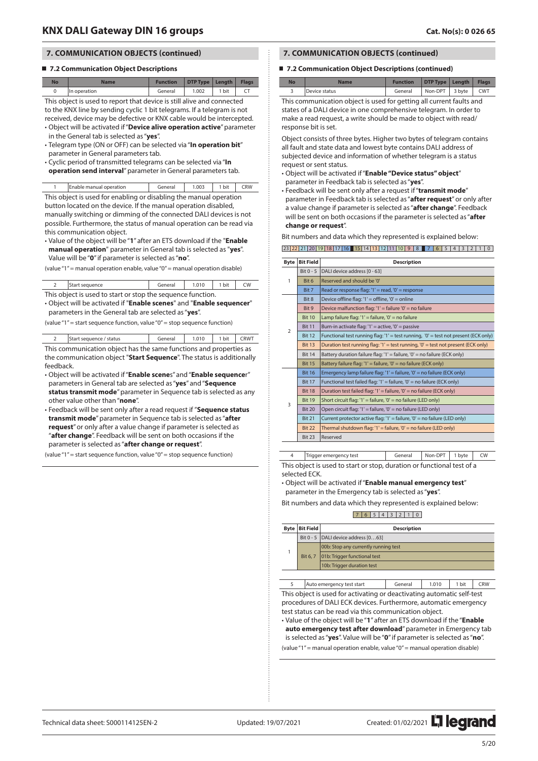## **7.2 Communication Object Descriptions**

| <b>No</b> | <b>Name</b>                                                            | <b>Function</b> | DTP Type   Length |       | <b>Flags</b> |  |
|-----------|------------------------------------------------------------------------|-----------------|-------------------|-------|--------------|--|
|           | In operation                                                           | General         | 1.002             | 1 bit |              |  |
|           | This object is used to report that device is still alive and connected |                 |                   |       |              |  |

to the KNX line by sending cyclic 1 bit telegrams. If a telegram is not received, device may be defective or KNX cable would be intercepted.

- Object will be activated if "**Device alive operation active**" parameter in the General tab is selected as "**yes**".
- Telegram type (ON or OFF) can be selected via "**In operation bit**" parameter in General parameters tab.
- Cyclic period of transmitted telegrams can be selected via "**In operation send interval**" parameter in General parameters tab.

|  | Enable manual operation | General | 1.003 | . bit | CRW |
|--|-------------------------|---------|-------|-------|-----|
|--|-------------------------|---------|-------|-------|-----|

This object is used for enabling or disabling the manual operation button located on the device. If the manual operation disabled, manually switching or dimming of the connected DALI devices is not possible. Furthermore, the status of manual operation can be read via this communication object.

• Value of the object will be "**1**" after an ETS download if the "**Enable manual operation**" parameter in General tab is selected as "**yes**". Value will be "**0**" if parameter is selected as "**no**".

(value "1" = manual operation enable, value "0" = manual operation disable)

| Start sequence                                              | General   1.010   1 bit   CW |  |  |
|-------------------------------------------------------------|------------------------------|--|--|
| This object is used to start or stop the sequence function. |                              |  |  |

• Object will be activated if "**Enable scenes**" and "**Enable sequencer**" parameters in the General tab are selected as "**yes**".

(value "1" = start sequence function, value "0" = stop sequence function)

| 2 Start sequence / status                                          |  | General 1.010 1 bit CRWT |  |
|--------------------------------------------------------------------|--|--------------------------|--|
| This communication object has the same functions and properties as |  |                          |  |

the communication object "**Start Sequence**". The status is additionally feedback.

- Object will be activated if "**Enable scene**s" and "**Enable sequence**r" parameters in General tab are selected as "**yes**" and "**Sequence status transmit mode**" parameter in Sequence tab is selected as any other value other than "**none**".
- Feedback will be sent only after a read request if "**Sequence status transmit mode**" parameter in Sequence tab is selected as "**after request**" or only after a value change if parameter is selected as "**after change**". Feedback will be sent on both occasions if the parameter is selected as "**after change or request**".

(value "1" = start sequence function, value "0" = stop sequence function)

## **7. COMMUNICATION OBJECTS (continued)**

### ■ **7.2 Communication Object Descriptions (continued)**

| No | <b>Name</b>   | <b>Function</b> | DTP Type   Length   Flags |            |
|----|---------------|-----------------|---------------------------|------------|
|    | Device status | General         | Non-DPT 3 byte            | <b>CWT</b> |

This communication object is used for getting all current faults and states of a DALI device in one comprehensive telegram. In order to make a read request, a write should be made to object with read/ response bit is set.

Object consists of three bytes. Higher two bytes of telegram contains all fault and state data and lowest byte contains DALI address of subjected device and information of whether telegram is a status request or sent status.

- Object will be activated if "**Enable "Device status" object**" parameter in Feedback tab is selected as "**yes**".
- Feedback will be sent only after a request if "**transmit mode**" parameter in Feedback tab is selected as "**after request**" or only after a value change if parameter is selected as "**after change**". Feedback will be sent on both occasions if the parameter is selected as "**after change or request**".

Bit numbers and data which they represented is explained below:

|  |  |  |  | 23 22 21 20 19 18 17 16 15 14 13 12 11 10 9 8 7 6 5 4 3 2 1 0 |  |  |  |  |  |  |  |  |
|--|--|--|--|---------------------------------------------------------------|--|--|--|--|--|--|--|--|

| <b>Byte</b>    | <b>Bit Field</b> | <b>Description</b>                                                                  |
|----------------|------------------|-------------------------------------------------------------------------------------|
|                | $Bit 0 - 5$      | DALI device address [0 - 63]                                                        |
| 1              | Bit 6            | Reserved and should be '0'                                                          |
|                | Bit 7            | Read or response flag: '1' = read, '0' = response                                   |
|                | Bit 8            | Device offline flag: '1' = offline, '0' = online                                    |
|                | Bit 9            | Device malfunction flag: '1' = failure '0' = no failure                             |
|                | <b>Bit 10</b>    | Lamp failure flag: '1' = failure, '0' = no failure                                  |
| $\overline{2}$ | <b>Bit 11</b>    | Burn-in activate flag: '1' = active, '0' = passive                                  |
|                | <b>Bit 12</b>    | Functional test running flag: '1' = test running, '0' = test not present (ECK only) |
|                | <b>Bit 13</b>    | Duration test running flag: '1' = test running, '0' = test not present (ECK only)   |
|                | <b>Bit 14</b>    | Battery duration failure flag: '1' = failure, '0' = no failure (ECK only)           |
|                | <b>Bit 15</b>    | Battery failure flag: '1' = failure, '0' = no failure (ECK only)                    |
|                | <b>Bit 16</b>    | Emergency lamp failure flag: '1' = failure, '0' = no failure (ECK only)             |
|                | <b>Bit 17</b>    | Functional test failed flag: '1' = failure, '0' = no failure (ECK only)             |
|                | <b>Bit 18</b>    | Duration test failed flag: '1' = failure, '0' = no failure (ECK only)               |
| 3              | <b>Bit 19</b>    | Short circuit flag: '1' = failure, '0' = no failure (LED only)                      |
|                | <b>Bit 20</b>    | Open circuit flag: '1' = failure, '0' = no failure (LED only)                       |
|                | <b>Bit 21</b>    | Current protector active flag: '1' = failure, '0' = no failure (LED only)           |
|                | <b>Bit 22</b>    | Thermal shutdown flag: '1' = failure, '0' = no failure (LED only)                   |
|                | <b>Bit 23</b>    | Reserved                                                                            |
|                |                  |                                                                                     |

Trigger emergency test | General | Non-DPT | 1 byte | CW This object is used to start or stop, duration or functional test of a

selected ECK.

• Object will be activated if "**Enable manual emergency test**" parameter in the Emergency tab is selected as "**yes**".

Bit numbers and data which they represented is explained below:

## 7 6 5 4 3 2 1 0

| <b>Byte   Bit Field  </b> | <b>Description</b>                      |
|---------------------------|-----------------------------------------|
|                           | Bit $0 - 5$ DALI device address $[063]$ |
|                           | 00b: Stop any currently running test    |
| Bit 6.7                   | 01b: Trigger functional test            |
|                           | 10b: Trigger duration test              |
|                           |                                         |

Auto emergency test start | General | 1.010 | 1 bit | CRW This object is used for activating or deactivating automatic self-test procedures of DALI ECK devices. Furthermore, automatic emergency test status can be read via this communication object.

• Value of the object will be "**1**" after an ETS download if the "**Enable auto emergency test after download**" parameter in Emergency tab is selected as "**yes**". Value will be "**0**" if parameter is selected as "**no**". (value "1" = manual operation enable, value "0" = manual operation disable)

Technical data sheet: S000114125EN-2 Updated: 19/07/2021 Created: 01/02/2021 2021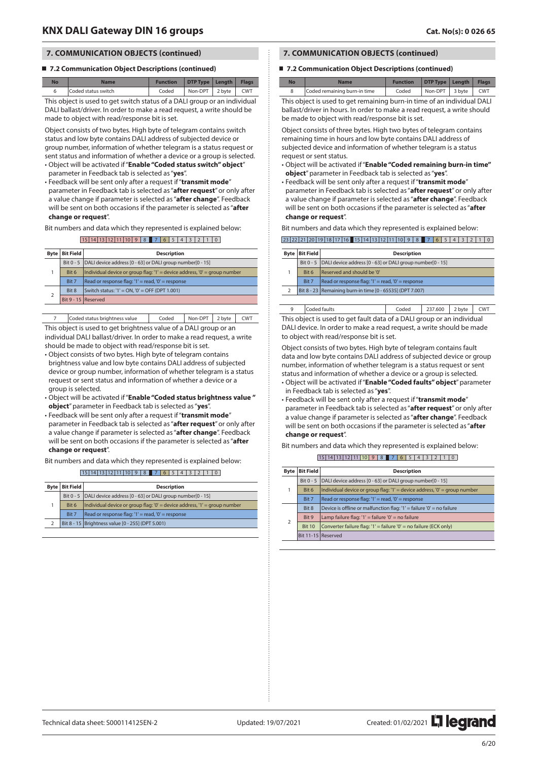### ■ **7.2 Communication Object Descriptions (continued)**

| <b>No</b>                                                                 | <b>Name</b>         | <b>Function</b> | DTP Type   Length |  | <b>Flags</b> |
|---------------------------------------------------------------------------|---------------------|-----------------|-------------------|--|--------------|
| 6                                                                         | Coded status switch | Coded           | Non-DPT 2 byte    |  | <b>CWT</b>   |
| This object is used to get switch status of a DALI group or an individual |                     |                 |                   |  |              |

DALI ballast/driver. In order to make a read request, a write should be made to object with read/response bit is set.

Object consists of two bytes. High byte of telegram contains switch status and low byte contains DALI address of subjected device or group number, information of whether telegram is a status request or sent status and information of whether a device or a group is selected.

- Object will be activated if "**Enable "Coded status switch" object**" parameter in Feedback tab is selected as "**yes**".
- Feedback will be sent only after a request if "**transmit mode**"

parameter in Feedback tab is selected as "**after request**" or only after a value change if parameter is selected as "**after change**". Feedback will be sent on both occasions if the parameter is selected as "**after change or request**".

Bit numbers and data which they represented is explained below:

#### $15 \mid 14 \mid 13 \mid 12 \mid 11 \mid 10 \mid 9 \mid 8$  7 6 5 4 3 2 1 0

| <b>Byte</b> | <b>Bit Field</b>    | <b>Description</b>                                                        |
|-------------|---------------------|---------------------------------------------------------------------------|
|             |                     | Bit 0 - 5   DALI device address [0 - 63] or DALI group number[0 - 15]     |
|             | Bit 6               | Individual device or group flag: '1' = device address, '0' = group number |
|             | Bit 7               | Read or response flag: '1' = read, '0' = response                         |
|             | Bit 8               | Switch status: '1' = ON, '0' = OFF (DPT 1.001)                            |
|             | Bit 9 - 15 Reserved |                                                                           |

Coded status brightness value | Coded | Non-DPT | 2 byte | CWT This object is used to get brightness value of a DALI group or an

individual DALI ballast/driver. In order to make a read request, a write should be made to object with read/response bit is set.

- Object consists of two bytes. High byte of telegram contains brightness value and low byte contains DALI address of subjected device or group number, information of whether telegram is a status request or sent status and information of whether a device or a group is selected.
- Object will be activated if "**Enable "Coded status brightness value " object**" parameter in Feedback tab is selected as "**yes**".
- Feedback will be sent only after a request if "**transmit mode**" parameter in Feedback tab is selected as "**after request**" or only after a value change if parameter is selected as "**after change**". Feedback will be sent on both occasions if the parameter is selected as "**after change or request**".

Bit numbers and data which they represented is explained below:

|             |                  | $15 14 13 12 11 10 98$ 7 6 5 4 3 2 1 0                                    |  |  |  |  |  |  |  |  |  |  |
|-------------|------------------|---------------------------------------------------------------------------|--|--|--|--|--|--|--|--|--|--|
| <b>Byte</b> | <b>Bit Field</b> | <b>Description</b>                                                        |  |  |  |  |  |  |  |  |  |  |
|             |                  | Bit 0 - 5   DALI device address [0 - 63] or DALI group number[0 - 15]     |  |  |  |  |  |  |  |  |  |  |
|             | Bit 6            | Individual device or group flag: '0' = device address, '1' = group number |  |  |  |  |  |  |  |  |  |  |
|             | Bit 7            | Read or response flag: '1' = read, '0' = response                         |  |  |  |  |  |  |  |  |  |  |
|             |                  | Bit 8 - 15   Brightness value [0 - 255] (DPT 5.001)                       |  |  |  |  |  |  |  |  |  |  |

## **7. COMMUNICATION OBJECTS (continued)**

### ■ **7.2 Communication Object Descriptions (continued)**

| N٥ | <b>Name</b>                  | <b>Function</b> | DTP Type   Length   Flags |  |
|----|------------------------------|-----------------|---------------------------|--|
|    | Coded remaining burn-in time | Coded           | Non-DPT 3 byte CWT        |  |

This object is used to get remaining burn-in time of an individual DALI ballast/driver in hours. In order to make a read request, a write should be made to object with read/response bit is set.

Object consists of three bytes. High two bytes of telegram contains remaining time in hours and low byte contains DALI address of subjected device and information of whether telegram is a status request or sent status.

- Object will be activated if "**Enable "Coded remaining burn-in time" object**" parameter in Feedback tab is selected as "**yes**".
- Feedback will be sent only after a request if "**transmit mode**" parameter in Feedback tab is selected as "**after request**" or only after a value change if parameter is selected as "**after change**". Feedback will be sent on both occasions if the parameter is selected as "**after change or request**".

Bit numbers and data which they represented is explained below:

|  |  |  |  |  |  |  |  | 23 22 21 20 19 18 17 16 15 14 13 12 11 10 9 8 7 6 5 4 3 2 1 0 |  |  |  |  |
|--|--|--|--|--|--|--|--|---------------------------------------------------------------|--|--|--|--|

| <b>Byte</b>             | <b>Bit Field</b> | <b>Description</b>                                                    |
|-------------------------|------------------|-----------------------------------------------------------------------|
|                         |                  | Bit 0 - 5   DALI device address [0 - 63] or DALI group number[0 - 15] |
|                         | Rit 6            | Reserved and should be '0'                                            |
|                         | <b>Bit 7</b>     | Read or response flag: '1' = read, '0' = response                     |
| $\overline{\mathbf{2}}$ |                  | Bit 8 - 23   Remaining burn-in time [0 - 65535] (DPT 7.007)           |
|                         |                  |                                                                       |

9 Coded faults Coded 237.600 2 byte CWT This object is used to get fault data of a DALI group or an individual DALI device. In order to make a read request, a write should be made to object with read/response bit is set.

Object consists of two bytes. High byte of telegram contains fault data and low byte contains DALI address of subjected device or group number, information of whether telegram is a status request or sent status and information of whether a device or a group is selected.

- Object will be activated if "**Enable "Coded faults" object**" parameter in Feedback tab is selected as "**yes**".
- Feedback will be sent only after a request if "**transmit mode**" parameter in Feedback tab is selected as "**after request**" or only after a value change if parameter is selected as "**after change**". Feedback will be sent on both occasions if the parameter is selected as "**after change or request**".

Bit numbers and data which they represented is explained below:  $15$  14  $13$  15  $14$  14  $14$  0  $16$ 

| Byte           | <b>Bit Field</b> | <b>Description</b>                                                          |
|----------------|------------------|-----------------------------------------------------------------------------|
|                | Bit 0 - 5        | DALI device address [0 - 63] or DALI group number[0 - 15]                   |
| 1              | Bit 6            | Individual device or group flag: $1' =$ device address, $0' =$ group number |
|                | Bit 7            | Read or response flag: $1'$ = read, $'0'$ = response                        |
|                | Bit 8            | Device is offline or malfunction flag: '1' = failure '0' = no failure       |
| $\overline{2}$ | Bit 9            | Lamp failure flag: $1' =$ failure $0' =$ no failure                         |
|                | <b>Bit 10</b>    | Converter failure flag: '1' = failure '0' = no failure (ECK only)           |
|                |                  | Bit 11-15 Reserved                                                          |
|                |                  |                                                                             |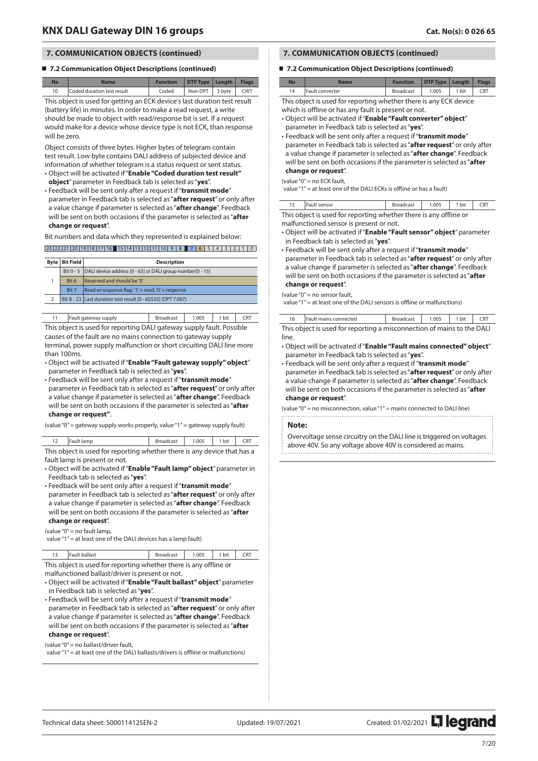#### ■ **7.2 Communication Object Descriptions (continued)**

| <b>No</b>                                                                 | <b>Name</b>                | <b>Function</b> | DTP Type   Length |                        | <b>Flags</b> |  |  |  |  |
|---------------------------------------------------------------------------|----------------------------|-----------------|-------------------|------------------------|--------------|--|--|--|--|
| 10                                                                        | Coded duration test result | Coded           |                   | Non-DPT   3 byte   CWT |              |  |  |  |  |
| This object is used for getting an ECK device's last duration test result |                            |                 |                   |                        |              |  |  |  |  |

(battery life) in minutes. In order to make a read request, a write should be made to object with read/response bit is set. If a request would make for a device whose device type is not ECK, than response will be zero.

Object consists of three bytes. Higher bytes of telegram contain test result. Low byte contains DALI address of subjected device and information of whether telegram is a status request or sent status.

- Object will be activated if "**Enable "Coded duration test result" object**" parameter in Feedback tab is selected as "**yes**".
- Feedback will be sent only after a request if "**transmit mode**" parameter in Feedback tab is selected as "**after request**" or only after a value change if parameter is selected as "**after change**". Feedback will be sent on both occasions if the parameter is selected as "**after change or request**".

Bit numbers and data which they represented is explained below:

 $23 | 22 | 21 | 20 | 19 | 18 | 17 | 16$  15  $| 14 | 13 | 12 | 11 | 10 | 9 18$  7 6 5 4 3 1 2 1 0

| Byte | <b>Bit Field</b> | <b>Description</b>                                                    |
|------|------------------|-----------------------------------------------------------------------|
|      |                  | Bit 0 - 5   DALI device address [0 - 63] or DALI group number[0 - 15] |
|      | Bit 6            | Reserved and should be '0'                                            |
|      | Bit 7            | Read or response flag: '1' = read, '0' = response                     |
|      |                  | Bit 8 - 23   Last duration test result [0 - 65535] (DPT 7.007)        |
|      |                  |                                                                       |

11 Fault gateway supply Roadcast 1.005 1 bit CRT

This object is used for reporting DALI gateway supply fault. Possible causes of the fault are no mains connection to gateway supply terminal, power supply malfunction or short circuiting DALI line more than 100ms.

• Object will be activated if "**Enable "Fault gateway supply" object**" parameter in Feedback tab is selected as "**yes**".

• Feedback will be sent only after a request if "**transmit mode**" parameter in Feedback tab is selected as "**after request**" or only after a value change if parameter is selected as "**after change**". Feedback will be sent on both occasions if the parameter is selected as "**after change or request"**.

(value "0" = gateway supply works properly, value "1" = gateway supply fault)

|                                                                          | Fault lamp | Broadcast 1.005 1 bit CRT |  |  |  |  |  |  |  |  |  |
|--------------------------------------------------------------------------|------------|---------------------------|--|--|--|--|--|--|--|--|--|
| This object is used for reporting whether there is any device that has a |            |                           |  |  |  |  |  |  |  |  |  |
| fault lamp is present or not.                                            |            |                           |  |  |  |  |  |  |  |  |  |

- Object will be activated if "**Enable "Fault lamp" object**" parameter in Feedback tab is selected as "**yes**".
- Feedback will be sent only after a request if "**transmit mode**" parameter in Feedback tab is selected as "**after request**" or only after a value change if parameter is selected as "**after change**". Feedback will be sent on both occasions if the parameter is selected as "**after**

## **change or request**".

(value "0" = no fault lamp, value "1" = at least one of the DALI devices has a lamp fault)

13 Fault ballast **Broadcast** 1.005 1 bit CRT This object is used for reporting whether there is any offline or

malfunctioned ballast/driver is present or not.

• Object will be activated if "**Enable "Fault ballast" object**" parameter in Feedback tab is selected as "**yes**".

• Feedback will be sent only after a request if "**transmit mode**"

parameter in Feedback tab is selected as "**after request**" or only after a value change if parameter is selected as "**after change**". Feedback will be sent on both occasions if the parameter is selected as "**after change or request**".

(value "0" = no ballast/driver fault,

value "1" = at least one of the DALI ballasts/drivers is offline or malfunctions)

## **7. COMMUNICATION OBJECTS (continued)**

### ■ 7.2 Communication Object Descriptions (continued)

| No | Name            | <b>Function</b>  | DTP Type   Length |       | <b>Flags</b> |  |
|----|-----------------|------------------|-------------------|-------|--------------|--|
| 14 | Fault converter | <b>Broadcast</b> | 1.005             | 1 bit | CRT          |  |

This object is used for reporting whether there is any ECK device which is offline or has any fault is present or not.

- Object will be activated if "**Enable "Fault converter" object**" parameter in Feedback tab is selected as "**yes**".
- Feedback will be sent only after a request if "**transmit mode**" parameter in Feedback tab is selected as "**after request**" or only after a value change if parameter is selected as "**after change**". Feedback will be sent on both occasions if the parameter is selected as "**after change or request**".

#### (value "0" = no ECK fault,

value "1" = at least one of the DALI ECKs is offline or has a fault)

| 15   Fault sensor                                                 |  | Broadcast   1.005   1 bit   CRT |  |  |  |
|-------------------------------------------------------------------|--|---------------------------------|--|--|--|
| This object is used for reporting whether there is any offline or |  |                                 |  |  |  |

malfunctioned sensor is present or not.

- Object will be activated if "**Enable "Fault sensor" object**" parameter in Feedback tab is selected as "**yes**".
- Feedback will be sent only after a request if "**transmit mode**" parameter in Feedback tab is selected as "**after request**" or only after a value change if parameter is selected as "**after change**". Feedback will be sent on both occasions if the parameter is selected as "**after change or request**".

#### (value "0" = no sensor fault,

value "1" = at least one of the DALI sensors is offline or malfunctions)

| 16   Fault mains connected                                             | Broadcast   1.005   1 bit   CRT |  |  |
|------------------------------------------------------------------------|---------------------------------|--|--|
| This object is used for reporting a misconnection of mains to the DALI |                                 |  |  |

|       | This object is used for reporting a misconnection of mains to the DALI |  |  |  |  |  |  |
|-------|------------------------------------------------------------------------|--|--|--|--|--|--|
| line. |                                                                        |  |  |  |  |  |  |
|       |                                                                        |  |  |  |  |  |  |

- Object will be activated if "**Enable "Fault mains connected" object**" parameter in Feedback tab is selected as "**yes**".
- Feedback will be sent only after a request if "**transmit mode**" parameter in Feedback tab is selected as "**after request**" or only after a value change if parameter is selected as "**after change**". Feedback will be sent on both occasions if the parameter is selected as "**after change or request**".

(value "0" = no misconnection, value "1" = mains connected to DALI line)

#### **Note:**

Overvoltage sense circuitry on the DALI line is triggered on voltages above 40V. So any voltage above 40V is considered as mains.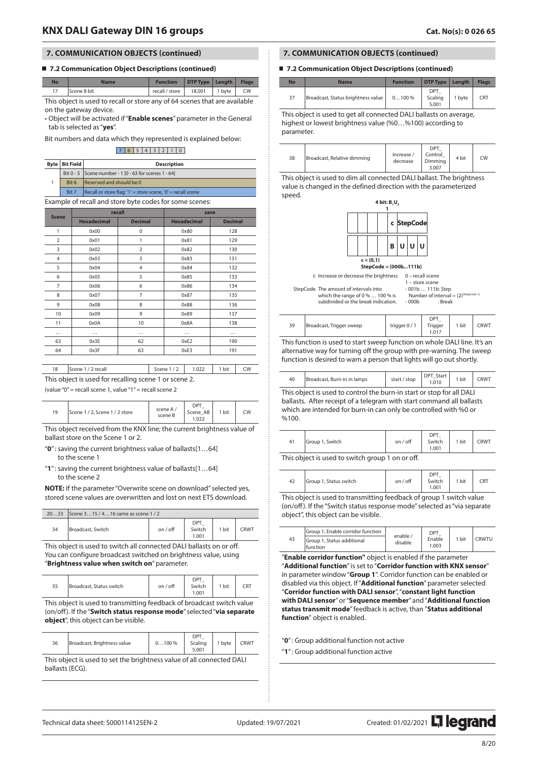### ■ 7.2 Communication Object Descriptions (continued)

| <b>No</b>                                                                  | <b>Name</b> | <b>Function</b>                    | DTP Type   Length |  | <b>Flags</b> |  |
|----------------------------------------------------------------------------|-------------|------------------------------------|-------------------|--|--------------|--|
| 17                                                                         | Scene 8 bit | recall / store   $18.001$   1 byte |                   |  | CW           |  |
| This object is used to recall or store any of 64 scenes that are available |             |                                    |                   |  |              |  |

on the gateway device. • Object will be activated if "**Enable scenes**" parameter in the General tab is selected as "**yes**".

Bit numbers and data which they represented is explained below:

#### 7 6 5 4 3 2 1 0

|                                                                      | <b>Byte   Bit Field  </b><br><b>Description</b>         |                                                       |  |  |
|----------------------------------------------------------------------|---------------------------------------------------------|-------------------------------------------------------|--|--|
|                                                                      |                                                         | Bit 0 - 5 Scene number - 1 [0 - 63 for scenes 1 - 64] |  |  |
| Reserved and should be 0<br>Bit 6                                    |                                                         |                                                       |  |  |
| Recall or store flag: '1' = store scene, '0' = recall scene<br>Bit 7 |                                                         |                                                       |  |  |
|                                                                      | Example of recall and store byte codes for some scenes: |                                                       |  |  |

| <b>Scene</b>   | recall             |                | save               |                |  |
|----------------|--------------------|----------------|--------------------|----------------|--|
|                | <b>Hexadecimal</b> | <b>Decimal</b> | <b>Hexadecimal</b> | <b>Decimal</b> |  |
| 1              | 0x00               | $\mathbf 0$    | 0x80               | 128            |  |
| $\overline{2}$ | 0x01               | 1              | 0x81               | 129            |  |
| 3              | 0x02               | $\overline{2}$ | 0x82               | 130            |  |
| $\overline{4}$ | 0x03               | 3              | 0x83               | 131            |  |
| 5              | 0x04               | $\overline{4}$ | 0x84               | 132            |  |
| 6              | 0x05               | 5              | 0x85               | 133            |  |
| $\overline{7}$ | 0x06               | 6              | 0x86               | 134            |  |
| 8              | 0x07               | $\overline{7}$ | 0x87               | 135            |  |
| 9              | 0x08               | 8              | 0x88               | 136            |  |
| 10             | 0x09               | 9              | 0x89               | 137            |  |
| 11             | 0x0A               | 10             | 0x8A               | 138            |  |
|                | $\cdots$           |                |                    | .              |  |
| 63             | 0x3E               | 62             | 0xE2               | 190            |  |
| 64             | 0x3F               | 63             | 0xE3               | 191            |  |

|                                                       | 18   Scene 1 / 2 recall | Scene 1/2 1.022 1 bit CW |  |  |  |  |
|-------------------------------------------------------|-------------------------|--------------------------|--|--|--|--|
| This object is used for recalling scene 1 or scene 2. |                         |                          |  |  |  |  |

(value "0" = recall scene 1, value "1" = recall scene 2

|--|

This object received from the KNX line; the current brightness value of ballast store on the Scene 1 or 2.

"**0**" : saving the current brightness value of ballasts[1…64] to the scene 1

"**1**" : saving the current brightness value of ballasts[1…64] to the scene 2

**NOTE:** If the parameter "Overwrite scene on download" selected yes, stored scene values are overwritten and lost on next ETS download.

| 2033 | Scene 315 / 416 same as scene 1 / 2 |          |                        |       |      |
|------|-------------------------------------|----------|------------------------|-------|------|
| 34   | Broadcast, Switch                   | on / off | DPT<br>Switch<br>1.001 | , bit | `RWT |
|      |                                     |          |                        |       |      |

This object is used to switch all connected DALI ballasts on or off. You can configure broadcast switched on brightness value, using "**Brightness value when switch on**" parameter.

| 35<br>Broadcast, Status switch | on / off | <b>DDT</b><br>Switch<br>.001 | bit | CRT |
|--------------------------------|----------|------------------------------|-----|-----|
|--------------------------------|----------|------------------------------|-----|-----|

This object is used to transmitting feedback of broadcast switch value (on/off). If the "**Switch status response mode**" selected "**via separate object**", this object can be visible.

| 36 | Broadcast, Brightness value | $0100\%$ | DP1<br>Scaling<br>5.001 | 1 byte | <b>CRWT</b> |
|----|-----------------------------|----------|-------------------------|--------|-------------|
|    |                             |          |                         |        |             |

This object is used to set the brightness value of all connected DALI ballasts (ECG).

## **7. COMMUNICATION OBJECTS (continued)**

I

## ■ **7.2 Communication Object Descriptions (continued)**

| <b>No</b> | <b>Name</b>                        | <b>Function</b> | DTP Type   Length       |        | <b>Flags</b> |
|-----------|------------------------------------|-----------------|-------------------------|--------|--------------|
| 37        | Broadcast, Status brightness value | $0100\%$        | DPT<br>Scaling<br>5.001 | 1 byte | CRT          |

This object is used to get all connected DALI ballasts on average, highest or lowest brightness value (%0…%100) according to parameter.

| 38 | Broadcast, Relative dimming | increase /<br>decrease | <b>DPT</b><br>Control<br>Dimming<br>3.007 | 4 bit | CW |
|----|-----------------------------|------------------------|-------------------------------------------|-------|----|
|----|-----------------------------|------------------------|-------------------------------------------|-------|----|

This object is used to dim all connected DALI ballast. The brightness value is changed in the defined direction with the parameterized speed.



c Increase or decrease the brightness  $0 -$  recall so

StepCode The amount of intervals into which the range of 0 % … 100 % is subdivided or the break indication.

| $1 - store scene$ |                                           |
|-------------------|-------------------------------------------|
| -001b  111b: Step |                                           |
|                   | Number of interval = $(2)^{(StepCode-1)}$ |
| $-000b$           | : Break                                   |

| 39                                                                        | Broadcast. Trigger sweep | trigger 0/1 | <b>DPT</b><br>Trigger<br>1.017 | 1 bit | <b>CRWT</b> |  |  |
|---------------------------------------------------------------------------|--------------------------|-------------|--------------------------------|-------|-------------|--|--|
| This function is used to start sweep function on whole DALI line. It's an |                          |             |                                |       |             |  |  |

alternative way for turning off the group with pre-warning. The sweep function is desired to warn a person that lights will go out shortly.

|--|

This object is used to control the burn-in start or stop for all DALI ballasts. After receipt of a telegram with start command all ballasts which are intended for burn-in can only be controlled with %0 or %100.

| 41                                                  | Group 1, Switch | on / off | $DP^*$<br>Switch<br>1.001 | 1 bit | CRWT |
|-----------------------------------------------------|-----------------|----------|---------------------------|-------|------|
| This abiast is more to an italy success 1 am an aff |                 |          |                           |       |      |

This object is used to switch group 1 on or off.

| Group 1, Status switch<br>42 | on / off | <b>DDT</b><br>Switch<br>1.001 | 1 bit | CRT |
|------------------------------|----------|-------------------------------|-------|-----|
|------------------------------|----------|-------------------------------|-------|-----|

This object is used to transmitting feedback of group 1 switch value (on/off). If the "Switch status response mode" selected as "via separate object", this object can be visible.

| 43 | Group 1, Enable corridor function      |                     | DP1             |       |               |
|----|----------------------------------------|---------------------|-----------------|-------|---------------|
|    | Group 1, Status additional<br>function | enable /<br>disable | Enable<br>1.003 | 1 bit | <b>FRWTLI</b> |

"**Enable corridor function"** object is enabled if the parameter "**Additional function**" is set to "**Corridor function with KNX sensor**" in parameter window "**Group 1**". Corridor function can be enabled or disabled via this object. If "**Additional function**" parameter selected "**Corridor function with DALI sensor**", "**constant light function with DALI sensor**" or "**Sequence member**" and "**Additional function status transmit mode**" feedback is active, than "**Status additional function**" object is enabled.

"**0**" : Group additional function not active

"**1**" : Group additional function active

Technical data sheet: S000114125EN-2 Updated: 19/07/2021 Created: 01/02/2021 2021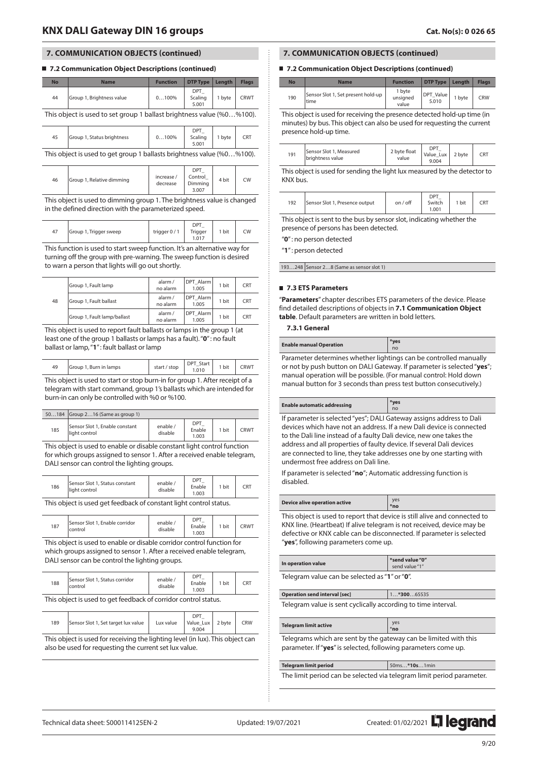45 Group 1, Status brightness 1 0...100%

### ■ 7.2 Communication Object Descriptions (continued)

| <b>No</b>                                                             | <b>Name</b>               | <b>Function</b> | <b>DTP Type</b>          | Lenath | <b>Flags</b> |  |
|-----------------------------------------------------------------------|---------------------------|-----------------|--------------------------|--------|--------------|--|
| 44                                                                    | Group 1, Brightness value | 0100%           | DPT_<br>Scaling<br>5.001 | 1 byte | <b>CRWT</b>  |  |
| This object is used to set group 1 ballast brightness value (%0%100). |                           |                 |                          |        |              |  |
|                                                                       |                           |                 | <b>DPT</b>               |        |              |  |

5.001 This object is used to get group 1 ballasts brightness value (%0…%100).

Scaling

1 byte CRT

| 46 | Group 1, Relative dimming | increase /<br>decrease | <b>DPT</b><br>Control<br>Dimming<br>3.007 | 4 bit | <b>CW</b> |
|----|---------------------------|------------------------|-------------------------------------------|-------|-----------|
|----|---------------------------|------------------------|-------------------------------------------|-------|-----------|

This object is used to dimming group 1. The brightness value is changed in the defined direction with the parameterized speed.

| 47 | Group 1, Trigger sweep | trigger 0/1 | $DP^{\tau}$<br>Trigger<br>1.017 | 1 bit | CW |
|----|------------------------|-------------|---------------------------------|-------|----|
|----|------------------------|-------------|---------------------------------|-------|----|

This function is used to start sweep function. It's an alternative way for turning off the group with pre-warning. The sweep function is desired to warn a person that lights will go out shortly.

| 48 | Group 1, Fault lamp         | alarm /<br>no alarm | DPT Alarm<br>1.005 | 1 bit | <b>CRT</b> |
|----|-----------------------------|---------------------|--------------------|-------|------------|
|    | Group 1, Fault ballast      | alarm /<br>no alarm | DPT Alarm<br>1.005 | 1 bit | <b>CRT</b> |
|    | Group 1, Fault lamp/ballast | alarm /<br>no alarm | DPT Alarm<br>1.005 | 1 bit | <b>CRT</b> |

This object is used to report fault ballasts or lamps in the group 1 (at least one of the group 1 ballasts or lamps has a fault). "**0**" : no fault ballast or lamp, "**1**" : fault ballast or lamp

| 49                                  | Group 1, Burn in lamps | start / stop | DPT<br>Start<br>1.010 | bit | CRWT |
|-------------------------------------|------------------------|--------------|-----------------------|-----|------|
| the contract of the contract of the |                        |              |                       |     |      |

This object is used to start or stop burn-in for group 1. After receipt of a telegram with start command, group 1's ballasts which are intended for burn-in can only be controlled with %0 or %100.

| 50184 | $\sqrt{G}$ Group 216 (Same as group 1)          |                     |                        |       |             |
|-------|-------------------------------------------------|---------------------|------------------------|-------|-------------|
| 185   | Sensor Slot 1. Enable constant<br>light control | enable /<br>disable | DPT<br>Enable<br>1.003 | 1 bit | <b>CRWT</b> |

This object is used to enable or disable constant light control function for which groups assigned to sensor 1. After a received enable telegram, DALI sensor can control the lighting groups.

| 186 | Sensor Slot 1. Status constant<br>light control | enable /<br>disable | DPT<br>Enable<br>1.003 | 1 bit | CRT |
|-----|-------------------------------------------------|---------------------|------------------------|-------|-----|
|-----|-------------------------------------------------|---------------------|------------------------|-------|-----|

This object is used get feedback of constant light control status.

| 187                             | Sensor Slot 1, Enable corridor<br>control | enable /<br>disable | <b>DPT</b><br>Enable<br>1.003 | 1 bit | ⊺RWT |
|---------------------------------|-------------------------------------------|---------------------|-------------------------------|-------|------|
| the contract of the contract of |                                           |                     | --                            |       |      |

This object is used to enable or disable corridor control function for which groups assigned to sensor 1. After a received enable telegram, DALI sensor can be control the lighting groups.

| 188 | Sensor Slot 1. Status corridor<br>control | enable,<br>disable | $DP^{\pi}$<br>Enable<br>.003 | 1 bit | CRT |
|-----|-------------------------------------------|--------------------|------------------------------|-------|-----|
|-----|-------------------------------------------|--------------------|------------------------------|-------|-----|

This object is used to get feedback of corridor control status.

| Sensor Slot 1, Set target lux value<br>Value_Lux 2 byte<br><b>CRW</b><br>189<br>Lux value<br>9.004 |
|----------------------------------------------------------------------------------------------------|
|----------------------------------------------------------------------------------------------------|

This object is used for receiving the lighting level (in lux). This object can also be used for requesting the current set lux value.

## **7. COMMUNICATION OBJECTS (continued)**

### ■ **7.2 Communication Object Descriptions (continued)**

| No  | <b>Name</b>                                | <b>Function</b>             | DTP Type           | Lenath | <b>Flags</b> |
|-----|--------------------------------------------|-----------------------------|--------------------|--------|--------------|
| 190 | Sensor Slot 1, Set present hold-up<br>time | 1 byte<br>unsigned<br>value | DPT Value<br>5.010 | 1 byte | <b>CRW</b>   |

This object is used for receiving the presence detected hold-up time (in minutes) by bus. This object can also be used for requesting the current presence hold-up time.

| 191 | Sensor Slot 1, Measured<br>briahtness value | 2 byte float<br>value | DP <sub>1</sub><br>Value Lux<br>9.004 | 2 byte | CRT |  |
|-----|---------------------------------------------|-----------------------|---------------------------------------|--------|-----|--|
|-----|---------------------------------------------|-----------------------|---------------------------------------|--------|-----|--|

This object is used for sending the light lux measured by the detector to KNX bus.

| 192 | Sensor Slot 1, Presence output | on / off | $\bigcap D^+$<br>Switch<br>1.001 | bit |  |
|-----|--------------------------------|----------|----------------------------------|-----|--|
|     |                                |          |                                  |     |  |

This object is sent to the bus by sensor slot, indicating whether the presence of persons has been detected.

"**0**" : no person detected

"**1**" : person detected

193...248 Sensor 2...8 (Same as sensor slot 1)

#### **7.3 ETS Parameters**

"**Parameters**" chapter describes ETS parameters of the device. Please find detailed descriptions of objects in **7.1 Communication Object table**. Default parameters are written in bold letters.

#### **7.3.1 General**

| <b>Enable manual Operation</b> |  |        |          | no |  |  |  |
|--------------------------------|--|--------|----------|----|--|--|--|
| $\overline{\phantom{0}}$       |  | $\sim$ | $\cdots$ |    |  |  |  |

Parameter determines whether lightings can be controlled manually or not by push button on DALI Gateway. If parameter is selected "**yes**"; manual operation will be possible. (For manual control: Hold down manual button for 3 seconds than press test button consecutively.)

| Enable automatic addressing                                          | *yes<br>no |  |  |  |
|----------------------------------------------------------------------|------------|--|--|--|
| If parameter is selected "yes"; DALI Gateway assigns address to Dali |            |  |  |  |

devices which have not an address. If a new Dali device is connected to the Dali line instead of a faulty Dali device, new one takes the address and all properties of faulty device. If several Dali devices are connected to line, they take addresses one by one starting with undermost free address on Dali line.

If parameter is selected "**no**"; Automatic addressing function is disabled.

| Device alive operation active            | ve <sup>®</sup> |
|------------------------------------------|-----------------|
| the contract of the contract of the con- |                 |

This object is used to report that device is still alive and connected to KNX line. (Heartbeat) If alive telegram is not received, device may be defective or KNX cable can be disconnected. If parameter is selected "**yes**", following parameters come up.

| In operation value                            | $^*$ send value "0"<br>send value "1" |  |  |
|-----------------------------------------------|---------------------------------------|--|--|
| Telegram value can be selected as "1" or "0". |                                       |  |  |

|                                                               | Operation send interval [sec] | $1*30065535$ |  |
|---------------------------------------------------------------|-------------------------------|--------------|--|
| Telegram value is sent cyclically according to time interval. |                               |              |  |

| <b>Telegram limit active</b>                                     | yes<br>no |  |  |  |  |
|------------------------------------------------------------------|-----------|--|--|--|--|
| Telegrams which are sent by the gateway can be limited with this |           |  |  |  |  |

parameter. If "**yes**" is selected, following parameters come up.

**Telegram limit period** 50ms…**\*10s**…1min The limit period can be selected via telegram limit period parameter.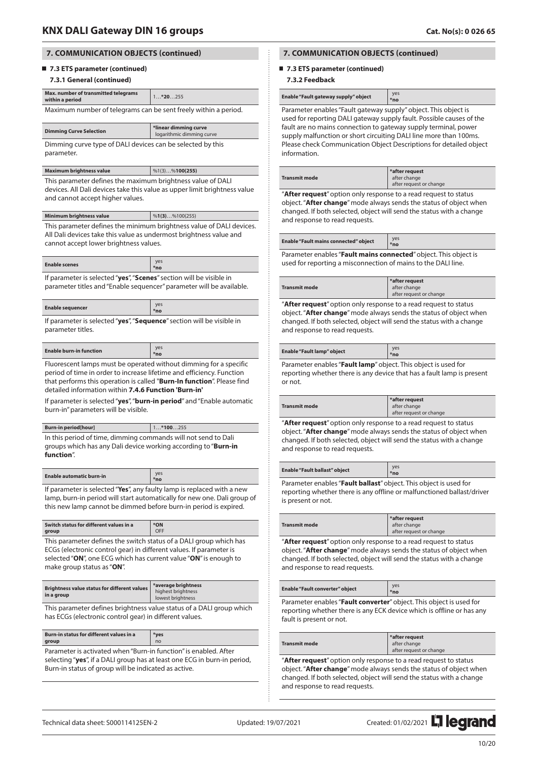## **7.3 ETS parameter (continued)**

#### **7.3.1 General (continued)**

| Max. number of transmitted telegrams<br>within a period         | $1*20255$ |  |  |  |
|-----------------------------------------------------------------|-----------|--|--|--|
| Maximum number of telegrams can be sent freely within a period. |           |  |  |  |

|     | <b>Dimming Curve Selection</b> |  | <b>i</b> *linear dimming curve<br>logarithmic dimming curve |  |  |  |
|-----|--------------------------------|--|-------------------------------------------------------------|--|--|--|
| - - |                                |  |                                                             |  |  |  |

Dimming curve type of DALI devices can be selected by this parameter.

| Maximum brightness value | $  %1(3) \dots %100(255)$ |
|--------------------------|---------------------------|
|--------------------------|---------------------------|

This parameter defines the maximum brightness value of DALI devices. All Dali devices take this value as upper limit brightness value and cannot accept higher values.

| Minimum brightness value                                             | %1(3)%100(255) |  |  |  |
|----------------------------------------------------------------------|----------------|--|--|--|
| This parameter defines the minimum brightness value of DALI devices. |                |  |  |  |
| All Dali devices take this value as undermost brightness value and   |                |  |  |  |
| cannot accept lower brightness values.                               |                |  |  |  |

|--|

If parameter is selected "**yes**", "**Scenes**" section will be visible in parameter titles and "Enable sequencer" parameter will be available.

| <b>Enable sequencer</b>                                                                 | ves<br>*no |  |  |  |
|-----------------------------------------------------------------------------------------|------------|--|--|--|
| If parameter is selected " <b>ves</b> ". " <b>Sequence</b> " section will be visible in |            |  |  |  |

If parameter is selected "**yes**", "**Sequence**" section will be visible in parameter titles.

| <b>Enable burn-in function</b> |  | ve <sub>b</sub><br>*no |               |  |  |
|--------------------------------|--|------------------------|---------------|--|--|
| $\sim$                         |  | .                      | $\sim$ $\sim$ |  |  |

Fluorescent lamps must be operated without dimming for a specific period of time in order to increase lifetime and efficiency. Function that performs this operation is called "**Burn-In function**". Please find detailed information within **7.4.6 Function 'Burn-in'**

If parameter is selected "**yes**", "**burn-in period**" and "Enable automatic burn-in" parameters will be visible.

| <b>Burn-in period[hour]</b>                                                          | $1*100255$ |  |  |
|--------------------------------------------------------------------------------------|------------|--|--|
| In this period of time, dimming commands will not send to Dali                       |            |  |  |
| groups which has any Dali device working according to " <b>Burn-in</b><br>function". |            |  |  |

| <b>Enable automatic burn-in</b> | ves<br>*no |
|---------------------------------|------------|
| . .                             | $\sim$     |

If parameter is selected "**Yes**", any faulty lamp is replaced with a new lamp, burn-in period will start automatically for new one. Dali group of this new lamp cannot be dimmed before burn-in period is expired.

| Switch status for different values in a<br>group                                                                                          | *ON<br>OFF |  |  |
|-------------------------------------------------------------------------------------------------------------------------------------------|------------|--|--|
| This parameter defines the switch status of a DALI group which has<br>ECGs (electronic control gear) in different values. If parameter is |            |  |  |
| selected "ON", one ECG which has current value "ON" is enough to<br>make group status as "ON".                                            |            |  |  |
|                                                                                                                                           |            |  |  |

| Brightness value status for different values<br>in a group | *average brightness<br>highest brightness |  |  |
|------------------------------------------------------------|-------------------------------------------|--|--|
|                                                            | lowest brightness                         |  |  |

This parameter defines brightness value status of a DALI group which has ECGs (electronic control gear) in different values.

| Burn-in status for different values in a                         | *ves           |  |  |  |
|------------------------------------------------------------------|----------------|--|--|--|
| aroup                                                            | n <sub>0</sub> |  |  |  |
| Parameter is activated when "Burn-in function" is enabled. After |                |  |  |  |

selecting "**yes**", if a DALI group has at least one ECG in burn-in period, Burn-in status of group will be indicated as active.

## **7. COMMUNICATION OBJECTS (continued)**

## ■ 7.3 ETS parameter (continued)

## **7.3.2 Feedback**

| Enable "Fault gateway supply" object | ves<br>*no |
|--------------------------------------|------------|
|--------------------------------------|------------|

Parameter enables "Fault gateway supply" object. This object is used for reporting DALI gateway supply fault. Possible causes of the fault are no mains connection to gateway supply terminal, power supply malfunction or short circuiting DALI line more than 100ms. Please check Communication Object Descriptions for detailed object information.

|--|

"**After request**" option only response to a read request to status object. "**After change**" mode always sends the status of object when changed. If both selected, object will send the status with a change and response to read requests.

| <b>Enable "Fault mains connected" object</b>                     | ves<br>*no |  |  |  |
|------------------------------------------------------------------|------------|--|--|--|
| Parameter enables "Fault mains connected" object. This object is |            |  |  |  |

used for reporting a misconnection of mains to the DALI line.

|                      | *after request          |
|----------------------|-------------------------|
| <b>Transmit mode</b> | after change            |
|                      | after request or change |

"**After request**" option only response to a read request to status object. "**After change**" mode always sends the status of object when changed. If both selected, object will send the status with a change and response to read requests.

| Enable "Fault lamp" object |  |          |   | ves<br>*no |  |  |
|----------------------------|--|----------|---|------------|--|--|
| $\overline{\phantom{0}}$   |  | $\cdots$ | . | .          |  |  |

Parameter enables "**Fault lamp**" object. This object is used for reporting whether there is any device that has a fault lamp is present or not.

|                      | *after request          |
|----------------------|-------------------------|
| <b>Transmit mode</b> | after change            |
|                      | after request or change |
|                      |                         |

"**After request**" option only response to a read request to status object. "**After change**" mode always sends the status of object when changed. If both selected, object will send the status with a change and response to read requests.

| <b>Enable "Fault ballast" object</b> | ves<br>*no                                      |
|--------------------------------------|-------------------------------------------------|
| _________                            | the contract of the contract of the contract of |

Parameter enables "**Fault ballast**" object. This object is used for reporting whether there is any offline or malfunctioned ballast/driver is present or not.

|               | $\,$ *after request     |
|---------------|-------------------------|
| Transmit mode | after change            |
|               | after request or change |

"**After request**" option only response to a read request to status object. "**After change**" mode always sends the status of object when changed. If both selected, object will send the status with a change and response to read requests.

|  | <b>Enable "Fault converter" object</b> | *no           |  |
|--|----------------------------------------|---------------|--|
|  |                                        | .<br>$\cdots$ |  |

Parameter enables "**Fault converter**" object. This object is used for reporting whether there is any ECK device which is offline or has any fault is present or not.

| ıode                                                                                                 | *after request<br>after change<br>after request or change |  |
|------------------------------------------------------------------------------------------------------|-----------------------------------------------------------|--|
| . 2006 2 24 March 2014 2020 2021 2022 2023 2024 2025 2020 2021 2022 2023 2024 2022 2023 2024 2022 20 |                                                           |  |

"**After request**" option only response to a read request to status object. "**After change**" mode always sends the status of object when changed. If both selected, object will send the status with a change and response to read requests.

**Transmit n** 

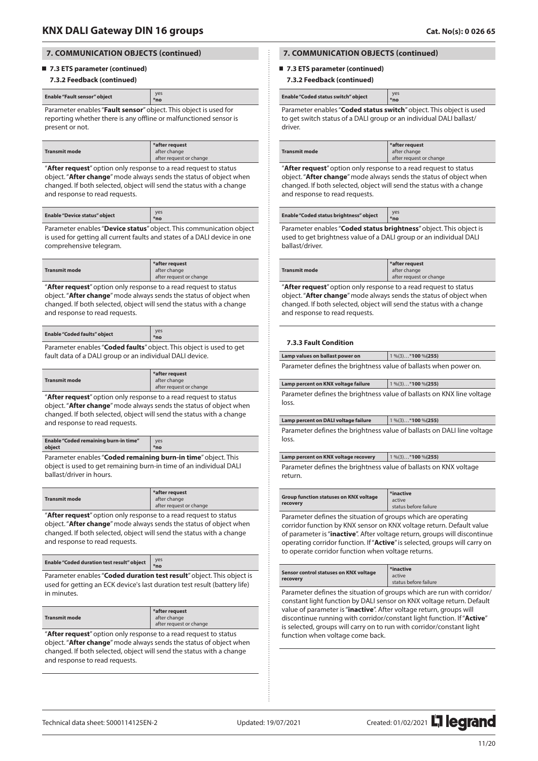## **7.3 ETS parameter (continued)**

#### **7.3.2 Feedback (continued)**

| Enable "Fault sensor" object                                     | ves<br>*no |  |
|------------------------------------------------------------------|------------|--|
| Daramatar anables "Fault several" abject This object is used for |            |  |

Parameter enables "**Fault sensor**" object. This object is used for reporting whether there is any offline or malfunctioned sensor is present or not.

|                      | *after request          |
|----------------------|-------------------------|
| <b>Transmit mode</b> | after change            |
|                      | after request or change |

"**After request**" option only response to a read request to status object. "**After change**" mode always sends the status of object when changed. If both selected, object will send the status with a change and response to read requests.

| <b>Enable "Device status" object</b> | ve:<br>*no |
|--------------------------------------|------------|
|                                      |            |

Parameter enables "**Device status**" object. This communication object is used for getting all current faults and states of a DALI device in one comprehensive telegram.

| <b>Transmit mode</b> | *after request<br>after change<br>after request or change |
|----------------------|-----------------------------------------------------------|
|                      |                                                           |

"**After request**" option only response to a read request to status object. "**After change**" mode always sends the status of object when changed. If both selected, object will send the status with a change and response to read requests.

| <b>Enable "Coded faults" object</b>                                 | ves<br>*no |
|---------------------------------------------------------------------|------------|
| Parameter enables "Coded faults" object. This object is used to get |            |

fault data of a DALI group or an individual DALI device.

|                      | *after request          |
|----------------------|-------------------------|
| <b>Transmit mode</b> | after change            |
|                      | after request or change |

"**After request**" option only response to a read request to status object. "**After change**" mode always sends the status of object when changed. If both selected, object will send the status with a change and response to read requests.

| <b>Enable "Coded remaining burn-in time"</b>                  | yes |
|---------------------------------------------------------------|-----|
| obiect                                                        | *no |
| Parameter enables "Coded remaining burn-in time" object. This |     |

object is used to get remaining burn-in time of an individual DALI ballast/driver in hours.

"**After request**" option only response to a read request to status object. "**After change**" mode always sends the status of object when changed. If both selected, object will send the status with a change and response to read requests.

Parameter enables "**Coded duration test result**" object. This object is used for getting an ECK device's last duration test result (battery life) in minutes.

| <b>Transmit mode</b> | *after request<br>after change |
|----------------------|--------------------------------|
|                      | after request or change        |

"**After request**" option only response to a read request to status object. "**After change**" mode always sends the status of object when changed. If both selected, object will send the status with a change and response to read requests.

## **7. COMMUNICATION OBJECTS (continued)**

## ■ 7.3 ETS parameter (continued)

#### **7.3.2 Feedback (continued)**

| Enable "Coded status switch" object | <b>ves</b><br>*no |
|-------------------------------------|-------------------|
|                                     |                   |

Parameter enables "**Coded status switch**" object. This object is used to get switch status of a DALI group or an individual DALI ballast/ driver.

|                      | $\frac{1}{2}$ *after request |
|----------------------|------------------------------|
| <b>Transmit mode</b> | after change                 |
|                      | after request or change      |

"**After request**" option only response to a read request to status object. "**After change**" mode always sends the status of object when changed. If both selected, object will send the status with a change and response to read requests.

| Enable "Coded status brightness" object | ves<br>*no |
|-----------------------------------------|------------|
|                                         |            |

Parameter enables "**Coded status brightness**" object. This object is used to get brightness value of a DALI group or an individual DALI ballast/driver.

|                      | $\frac{1}{2}$ *after request |
|----------------------|------------------------------|
| <b>Transmit mode</b> | after change                 |
|                      | after request or change      |

"**After request**" option only response to a read request to status object. "**After change**" mode always sends the status of object when changed. If both selected, object will send the status with a change and response to read requests.

### **7.3.3 Fault Condition**

| Lamp values on ballast power on                                   | $1\frac{96(3)*100\frac{96(255)}{6}}{6}$ |
|-------------------------------------------------------------------|-----------------------------------------|
| Parameter defines the brightness value of ballasts when power on. |                                         |

| Lamp percent on KNX voltage failure                                                                   | $1\frac{96(3)*100\frac{96(255)}{6}}{255}$ |
|-------------------------------------------------------------------------------------------------------|-------------------------------------------|
| ممثلون وعمينا فالقارس ومعتادها ألموا فيورد والمتواطئ والمستويات والمتواصح والمتواطئ ومقومون والمتواطئ |                                           |

Parameter defines the brightness value of ballasts loss.

|                                                                         | Lamp percent on DALI voltage failure | $1\%$ (3)*100 %(255) |
|-------------------------------------------------------------------------|--------------------------------------|----------------------|
| Parameter defines the brightness value of ballasts on DALI line voltage |                                      |                      |
|                                                                         | loss.                                |                      |

#### **Lamp percent on KNX voltage recovery** 1 %(3)…\***100** %**(255)**

Parameter defines the brightness value of ballasts on KNX voltage return.

| *inactive<br><b>Group function statuses on KNX voltage</b><br>active<br>recovery<br>status before failure |  |
|-----------------------------------------------------------------------------------------------------------|--|
|-----------------------------------------------------------------------------------------------------------|--|

Parameter defines the situation of groups which are operating corridor function by KNX sensor on KNX voltage return. Default value of parameter is "**inactive**". After voltage return, groups will discontinue operating corridor function. If "**Active**" is selected, groups will carry on to operate corridor function when voltage returns.

| Sensor control statuses on KNX voltage<br>recovery | *inactive<br>active<br>status before failure |  |
|----------------------------------------------------|----------------------------------------------|--|
|                                                    |                                              |  |

Parameter defines the situation of groups which are run with corridor/ constant light function by DALI sensor on KNX voltage return. Default value of parameter is "**inactive**". After voltage return, groups will discontinue running with corridor/constant light function. If "**Active**" is selected, groups will carry on to run with corridor/constant light function when voltage come back.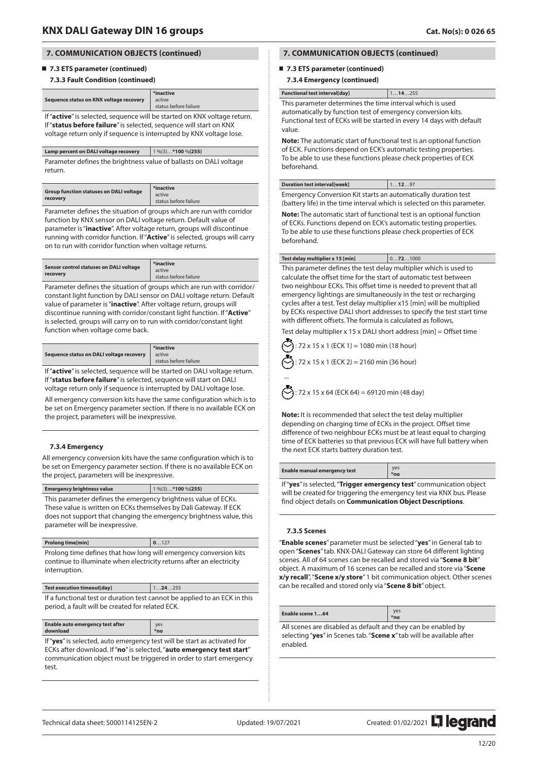### **7.3 ETS parameter (continued)**

### **7.3.3 Fault Condition (continued)**

| Sequence status on KNX voltage recovery                                  | *inactive<br>active<br>status before failure |
|--------------------------------------------------------------------------|----------------------------------------------|
| If "active" is selected, sequence will be started on KNX voltage return. |                                              |

If "**status before failure**" is selected, sequence will start on KNX voltage return only if sequence is interrupted by KNX voltage lose.

| Lamp percent on DALI voltage recovery | $1\frac{96(3)*100\frac{96(255)}{6}}{6}$ |
|---------------------------------------|-----------------------------------------|
|                                       |                                         |

Parameter defines the brightness value of ballasts on DALI voltage return.

| <b>Group function statuses on DALI voltage</b> | *inactive             |
|------------------------------------------------|-----------------------|
| recovery                                       | active                |
|                                                | status before failure |

Parameter defines the situation of groups which are run with corridor function by KNX sensor on DALI voltage return. Default value of parameter is "**inactive**". After voltage return, groups will discontinue running with corridor function. If "**Active**" is selected, groups will carry on to run with corridor function when voltage returns.

| Sensor control statuses on DALI voltage | *inactive             |
|-----------------------------------------|-----------------------|
| recovery                                | active                |
|                                         | status before failure |

Parameter defines the situation of groups which are run with corridor/ constant light function by DALI sensor on DALI voltage return. Default value of parameter is "**inactive**". After voltage return, groups will discontinue running with corridor/constant light function. If "**Active**" is selected, groups will carry on to run with corridor/constant light function when voltage come back.

| Sequence status on DALI voltage recovery | *inactive<br>active<br>status before failure |
|------------------------------------------|----------------------------------------------|
|                                          |                                              |

If "**active**" is selected, sequence will be started on DALI voltage return. If "**status before failure**" is selected, sequence will start on DALI

voltage return only if sequence is interrupted by DALI voltage lose. All emergency conversion kits have the same configuration which is to be set on Emergency parameter section. If there is no available ECK on the project, parameters will be inexpressive.

### **7.3.4 Emergency**

All emergency conversion kits have the same configuration which is to be set on Emergency parameter section. If there is no available ECK on the project, parameters will be inexpressive.

**Emergency brightness value** 1 %(3)…**\*100** %**(255)**

This parameter defines the emergency brightness value of ECKs. These value is written on ECKs themselves by Dali Gateway. If ECK does not support that changing the emergency brightness value, this parameter will be inexpressive.

| Prolong time[min]                                                                                                                                          | 0127 |
|------------------------------------------------------------------------------------------------------------------------------------------------------------|------|
| Prolong time defines that how long will emergency conversion kits<br>continue to illuminate when electricity returns after an electricity<br>interruption. |      |
|                                                                                                                                                            |      |

**Test execution timeout[day]** 1…**24**…255 If a functional test or duration test cannot be applied to an ECK in this period, a fault will be created for related ECK.

| Enable auto emergency test after<br>ves<br>download<br>*no |
|------------------------------------------------------------|
|------------------------------------------------------------|

If "**yes**" is selected, auto emergency test will be start as activated for ECKs after download. If "**no**" is selected, "**auto emergency test start**" communication object must be triggered in order to start emergency test.

## **7. COMMUNICATION OBJECTS (continued)**

### ■ 7.3 ETS parameter (continued)

#### **7.3.4 Emergency (continued)**

| <b>Functional test interval[day]</b>                                                                           | 114255 |  |
|----------------------------------------------------------------------------------------------------------------|--------|--|
| This parameter determines the time interval which is used                                                      |        |  |
| a conservant as Holland Compatters in a simple service and a company of a service of a service of the little s |        |  |

automatically by function test of emergency conversion kits. Functional test of ECKs will be started in every 14 days with default value.

**Note:** The automatic start of functional test is an optional function of ECK. Functions depend on ECK's automatic testing properties. To be able to use these functions please check properties of ECK beforehand.

#### **Duration test interval[week]** 1…**12**…97

Emergency Conversion Kit starts an automatically duration test (battery life) in the time interval which is selected on this parameter.

**Note:** The automatic start of functional test is an optional function of ECKs. Functions depend on ECK's automatic testing properties. To be able to use these functions please check properties of ECK beforehand.

#### **Test delay multiplier x 15 [min]** 0…**72**…1000

This parameter defines the test delay multiplier which is used to calculate the offset time for the start of automatic test between two neighbour ECKs. This offset time is needed to prevent that all emergency lightings are simultaneously in the test or recharging cycles after a test. Test delay multiplier x15 [min] will be multiplied by ECKs respective DALI short addresses to specify the test start time with different offsets. The formula is calculated as follows,

Test delay multiplier x 15 x DALI short address [min] = Offset time  
\n
$$
32x + 15x + 175x + 1828x + 184x + 184x + 184x + 184x + 184x + 184x + 184x + 184x + 184x + 184x + 184x + 184x + 184x + 184x + 184x + 184x + 184x + 184x + 184x + 184x + 184x + 184x + 184x + 184x + 184x + 184x + 184x + 184x + 184x + 184x + 184x + 184x + 184x + 184x + 184x + 184x + 184x + 184x + 184x + 184x + 184x + 184x + 184x + 184x + 184x + 184x + 184x + 184x + 184x + 184x + 184x + 184x + 184x + 184x + 184x + 184x + 184x + 184x + 184x + 184x + 184x + 184x + 184x + 184x + 184x + 184x + 184x + 184x + 184x + 184x + 184x + 184x + 184x + 184x + 184x + 184x + 184x + 184x + 184x + 184x + 184x + 184x + 184x + 184x + 184x + 184x + 184x + 184x + 184x + 184x + 184x + 184x + 184x + 184x + 184x + 184x + 184x + 184x + 184x + 184x + 184x + 184x + 184x + 184x + 184x + 184x + 184x + 184x + 184x + 184x + 184x + 184x + 184x + 184x + 184x + 184x + 184x + 184x + 184x +
$$

15 x 1 (ECK 1) = 1080 min (18 hour)  $72 \times 15 \times 1$  (ECK 2) = 2160 min (36 hour)

... : 72 x 15 x 64 (ECK 64) = 69120 min (48 day)

**Note:** It is recommended that select the test delay multiplier depending on charging time of ECKs in the project. Offset time difference of two neighbour ECKs must be at least equal to charging time of ECK batteries so that previous ECK will have full battery when the next ECK starts battery duration test.

| Enable manual emergency test                                        | yes<br>*no |
|---------------------------------------------------------------------|------------|
| If "ves" is selected. "Trigger emergency test" communication object |            |

If "**yes**" is selected, "**Trigger emergency test**" communication object will be created for triggering the emergency test via KNX bus. Please find object details on **Communication Object Descriptions**.

### **7.3.5 Scenes**

"**Enable scenes**" parameter must be selected "**yes**" in General tab to open "**Scenes**" tab. KNX-DALI Gateway can store 64 different lighting scenes. All of 64 scenes can be recalled and stored via "**Scene 8 bit**" object. A maximum of 16 scenes can be recalled and store via "**Scene x/y recall**", "**Scene x/y store**" 1 bit communication object. Other scenes can be recalled and stored only via "**Scene 8 bit**" object.

| Enable scene 164                                              | yes<br>*no |
|---------------------------------------------------------------|------------|
| All scenes are disabled as default and they can be enabled by |            |

selecting "**yes**" in Scenes tab. "**Scene x**" tab will be available after enabled.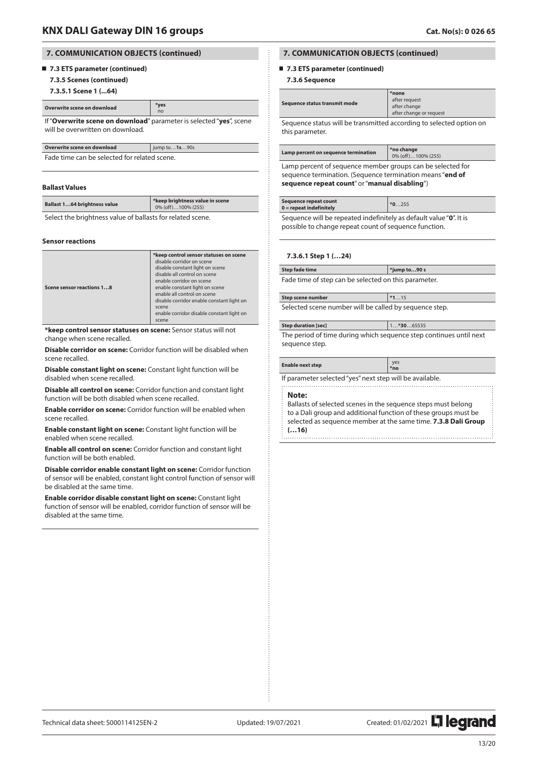## **7.3 ETS parameter (continued)**

**7.3.5 Scenes (continued)**

**7.3.5.1 Scene 1 (...64)**

| Overwrite scene on download | *ves |
|-----------------------------|------|
|                             |      |

 no If "**Overwrite scene on download**" parameter is selected "**yes**", scene will be overwritten on download.

| Overwrite scene on download                  | $\vert$ jump to <b>1s</b> 90s |
|----------------------------------------------|-------------------------------|
| Fade time can be selected for related scene. |                               |

#### **Ballast Values**

| Ballast 164 brightness value | *keep brightness value in scene<br>0% (off)100% (255) |
|------------------------------|-------------------------------------------------------|
|                              |                                                       |

Select the brightness value of ballasts for related scene.

#### **Sensor reactions**

| Scene sensor reactions 18 | *keep control sensor statuses on scene<br>disable corridor on scene<br>disable constant light on scene<br>disable all control on scene<br>enable corridor on scene<br>enable constant light on scene<br>enable all control on scene<br>disable corridor enable constant light on<br>scene<br>enable corridor disable constant light on |
|---------------------------|----------------------------------------------------------------------------------------------------------------------------------------------------------------------------------------------------------------------------------------------------------------------------------------------------------------------------------------|
|                           | scene                                                                                                                                                                                                                                                                                                                                  |

**\*keep control sensor statuses on scene:** Sensor status will not change when scene recalled.

**Disable corridor on scene:** Corridor function will be disabled when scene recalled.

**Disable constant light on scene:** Constant light function will be disabled when scene recalled.

**Disable all control on scene:** Corridor function and constant light function will be both disabled when scene recalled.

**Enable corridor on scene:** Corridor function will be enabled when scene recalled.

**Enable constant light on scene:** Constant light function will be enabled when scene recalled.

**Enable all control on scene:** Corridor function and constant light function will be both enabled.

**Disable corridor enable constant light on scene:** Corridor function of sensor will be enabled, constant light control function of sensor will be disabled at the same time.

**Enable corridor disable constant light on scene:** Constant light function of sensor will be enabled, corridor function of sensor will be disabled at the same time.

## **7. COMMUNICATION OBJECTS (continued)**

## ■ 7.3 ETS parameter (continued)

#### **7.3.6 Sequence**

| Sequence status transmit mode                                                                                 | *none<br>after request<br>after change<br>after change or request |
|---------------------------------------------------------------------------------------------------------------|-------------------------------------------------------------------|
| a consideration of the component of the component of the consideration of the constitution of the constant of |                                                                   |

Sequence status will be transmitted according to selected option on this parameter.

| Lamp percent on sequence termination                                                                       | *no change<br>0% (off)100% (255) |  |
|------------------------------------------------------------------------------------------------------------|----------------------------------|--|
| Lamp percent of sequence member groups can be selected for                                                 |                                  |  |
| sequence termination. (Sequence termination means "end of<br>sequence repeat count" or "manual disabling") |                                  |  |

| Sequence repeat count<br>$0 =$ repeat indefinitely | $*0255$ |
|----------------------------------------------------|---------|

Sequence will be repeated indefinitely as default value "**0**". It is possible to change repeat count of sequence function.

#### **7.3.6.1 Step 1 (…24)**

**Step fade time \*jump to…90 s** Fade time of step can be selected on this parameter.

| Step scene number                                      | $*115$ |
|--------------------------------------------------------|--------|
| Selected scene number will be called by sequence step. |        |

| <b>Step duration [sec]</b>                                         | $1*3065535$ |
|--------------------------------------------------------------------|-------------|
| The period of time during which sequence step continues until next |             |
| sequence step.                                                     |             |

| <b>Enable next step</b> | ves<br>*no |
|-------------------------|------------|
|-------------------------|------------|

If parameter selected "yes" next step will be available.

#### **Note:**

Ballasts of selected scenes in the sequence steps must belong to a Dali group and additional function of these groups must be selected as sequence member at the same time. **7.3.8 Dali Group (…16)**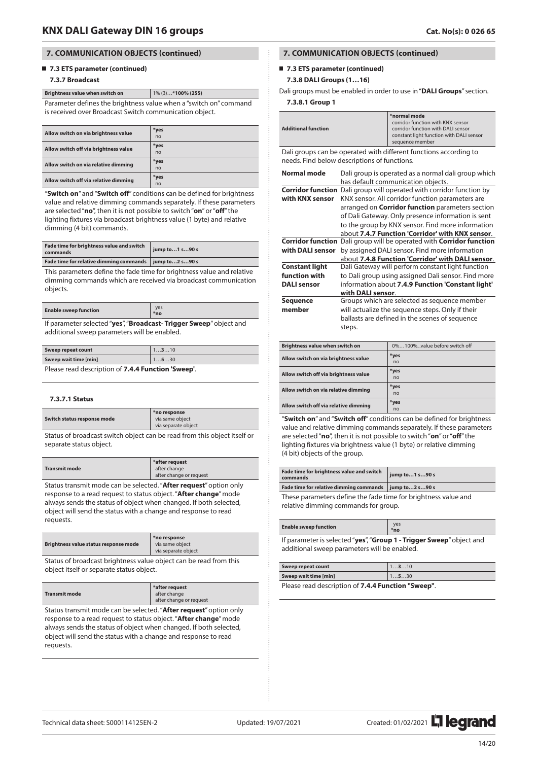## **7.3 ETS parameter (continued)**

## **7.3.7 Broadcast**

**Brightness value when switch on** 1% (3)…**\*100% (255)** Parameter defines the brightness value when a "switch on" command is received over Broadcast Switch communication object.

| Allow switch on via brightness value  | *yes<br>n <sub>o</sub> |
|---------------------------------------|------------------------|
| Allow switch off via brightness value | *yes<br>n <sub>o</sub> |
| Allow switch on via relative dimming  | *yes<br>n <sub>o</sub> |
| Allow switch off via relative dimming | *yes<br>no             |

"**Switch on**" and "**Switch off**" conditions can be defined for brightness value and relative dimming commands separately. If these parameters are selected "**no**", then it is not possible to switch "**on**" or "**off**" the lighting fixtures via broadcast brightness value (1 byte) and relative dimming (4 bit) commands.

| Fade time for brightness value and switch<br>commands    | jump to1 s90 s |
|----------------------------------------------------------|----------------|
| Fade time for relative dimming commands   jump to2 s90 s |                |

This parameters define the fade time for brightness value and relative dimming commands which are received via broadcast communication objects.

| <b>Enable sweep function</b>                                     | *no |
|------------------------------------------------------------------|-----|
| If noromotor colocted "veg" "Dreadgast Trigger Cuses" object and |     |

If parameter selected "**yes**", "**Broadcast- Trigger Sweep**" object and additional sweep parameters will be enabled.

| Sweep repeat count                                       | 1310 |
|----------------------------------------------------------|------|
| Sweep wait time [min]                                    | 1530 |
| <b>Plazes read description of 7 A A Eunstion 'Sween'</b> |      |

Please read description of **7.4.4 Function 'Sweep'**.

#### **7.3.7.1 Status**

| Switch status response mode | *no response<br>via same object<br>via separate object |
|-----------------------------|--------------------------------------------------------|
|                             |                                                        |

Status of broadcast switch object can be read from this object itself or separate status object.

|                      | *after request          |
|----------------------|-------------------------|
| <b>Transmit mode</b> | after change            |
|                      | after change or request |
|                      |                         |

Status transmit mode can be selected. "**After request**" option only response to a read request to status object. "**After change**" mode always sends the status of object when changed. If both selected, object will send the status with a change and response to read requests.

| Brightness value status response mode | *no response<br>via same object<br>via separate object |
|---------------------------------------|--------------------------------------------------------|
|                                       |                                                        |

Status of broadcast brightness value object can be read from this object itself or separate status object.

|                      | *after request          |
|----------------------|-------------------------|
| <b>Transmit mode</b> | after change            |
|                      | after change or request |

Status transmit mode can be selected. "**After request**" option only response to a read request to status object. "**After change**" mode always sends the status of object when changed. If both selected, object will send the status with a change and response to read requests.

## **7. COMMUNICATION OBJECTS (continued)**

### ■ 7.3 **ETS** parameter (continued)

### **7.3.8 DALI Groups (1…16)**

Dali groups must be enabled in order to use in "**DALI Groups**" section.

## **7.3.8.1 Group 1**

| <b>Additional function</b> |                                                                                                                                                                                                                                                                                                                                                                   | *normal mode<br>corridor function with KNX sensor<br>corridor function with DALI sensor<br>constant light function with DALI sensor<br>sequence member |  |
|----------------------------|-------------------------------------------------------------------------------------------------------------------------------------------------------------------------------------------------------------------------------------------------------------------------------------------------------------------------------------------------------------------|--------------------------------------------------------------------------------------------------------------------------------------------------------|--|
|                            | Dali groups can be operated with different functions according to<br>needs. Find below descriptions of functions.                                                                                                                                                                                                                                                 |                                                                                                                                                        |  |
| Normal mode                | Dali group is operated as a normal dali group which<br>has default communication objects.                                                                                                                                                                                                                                                                         |                                                                                                                                                        |  |
| with KNX sensor            | <b>Corridor function</b> Dali group will operated with corridor function by<br>KNX sensor. All corridor function parameters are<br>arranged on <b>Corridor function</b> parameters section<br>of Dali Gateway. Only presence information is sent<br>to the group by KNX sensor. Find more information<br>about <b>7.4.7 Function 'Corridor' with KNX sensor</b> . |                                                                                                                                                        |  |
| <b>Corridor function</b>   |                                                                                                                                                                                                                                                                                                                                                                   | Dali group will be operated with <b>Corridor function</b>                                                                                              |  |
| with DALI sensor           |                                                                                                                                                                                                                                                                                                                                                                   | by assigned DALI sensor. Find more information                                                                                                         |  |
|                            |                                                                                                                                                                                                                                                                                                                                                                   | about 7.4.8 Function 'Corridor' with DALI sensor.                                                                                                      |  |
| <b>Constant light</b>      |                                                                                                                                                                                                                                                                                                                                                                   | Dali Gateway will perform constant light function                                                                                                      |  |
| function with              |                                                                                                                                                                                                                                                                                                                                                                   | to Dali group using assigned Dali sensor. Find more                                                                                                    |  |
| <b>DALI</b> sensor         | information about 7.4.9 Function 'Constant light'                                                                                                                                                                                                                                                                                                                 |                                                                                                                                                        |  |
|                            | with DALI sensor.                                                                                                                                                                                                                                                                                                                                                 |                                                                                                                                                        |  |
| <b>Sequence</b>            |                                                                                                                                                                                                                                                                                                                                                                   | Groups which are selected as sequence member                                                                                                           |  |
| member                     |                                                                                                                                                                                                                                                                                                                                                                   | will actualize the sequence steps. Only if their                                                                                                       |  |
|                            |                                                                                                                                                                                                                                                                                                                                                                   | ballasts are defined in the scenes of sequence                                                                                                         |  |
|                            | steps.                                                                                                                                                                                                                                                                                                                                                            |                                                                                                                                                        |  |

| Brightness value when switch on       | 0%100%value before switch off |
|---------------------------------------|-------------------------------|
| Allow switch on via brightness value  | *yes<br>n <sub>o</sub>        |
| Allow switch off via brightness value | *yes<br>n <sub>o</sub>        |
| Allow switch on via relative dimming  | *yes<br>n <sub>o</sub>        |
| Allow switch off via relative dimming | *yes<br>no                    |

"**Switch on**" and "**Switch off**" conditions can be defined for brightness value and relative dimming commands separately. If these parameters are selected "**no**", then it is not possible to switch "**on**" or "**off**" the lighting fixtures via brightness value (1 byte) or relative dimming (4 bit) objects of the group.

| Fade time for brightness value and switch<br>commands    | jump to1 s90 s |
|----------------------------------------------------------|----------------|
| Fade time for relative dimming commands   jump to2 s90 s |                |

These parameters define the fade time for brightness value and relative dimming commands for group.

| <b>Enable sweep function</b> | <b>Ves</b><br>*no |
|------------------------------|-------------------|
|                              |                   |

If parameter is selected "**yes**", "**Group 1 - Trigger Sweep**" object and additional sweep parameters will be enabled.

| Sweep repeat count                    | 1310 |
|---------------------------------------|------|
| Sweep wait time [min]                 | 1530 |
| $\sim$ $\sim$ $\sim$ $\sim$<br>$\sim$ |      |

Please read description of **7.4.4 Function "Sweep"**.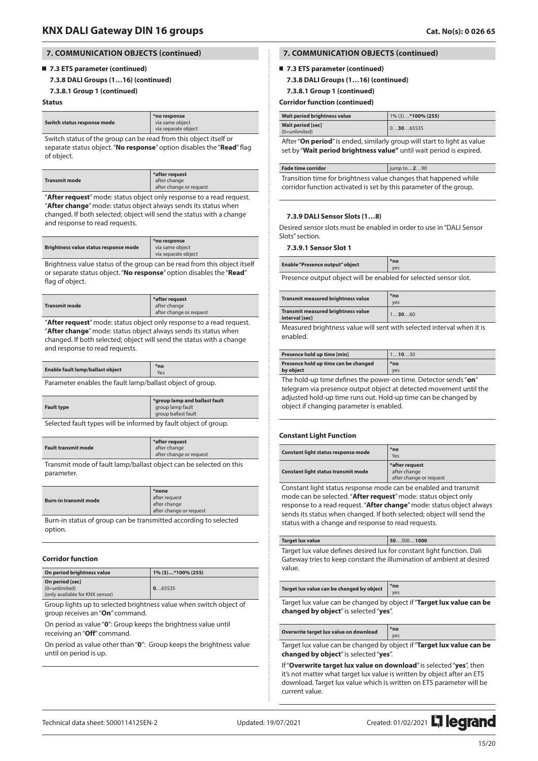### **7.3 ETS parameter (continued)**

#### **7.3.8 DALI Groups (1…16) (continued)**

**7.3.8.1 Group 1 (continued)**

#### **Status**

| *no response<br>Switch status response mode<br>via same object<br>via separate object |
|---------------------------------------------------------------------------------------|
|---------------------------------------------------------------------------------------|

Switch status of the group can be read from this object itself or separate status object. "**No response**" option disables the "**Read**" flag of object.

|                      | *after request          |
|----------------------|-------------------------|
| <b>Transmit mode</b> | after change            |
|                      | after change or request |

"**After request**" mode: status object only response to a read request. "**After change**" mode: status object always sends its status when changed. If both selected; object will send the status with a change and response to read requests.

|  | Brightness value status response mode | *no response<br>via same object<br>via separate object |
|--|---------------------------------------|--------------------------------------------------------|
|--|---------------------------------------|--------------------------------------------------------|

Brightness value status of the group can be read from this object itself or separate status object. "**No response**" option disables the "**Read**" flag of object.

|                      | *after request          |
|----------------------|-------------------------|
| <b>Transmit mode</b> | after change            |
|                      | after change or request |

"**After request**" mode: status object only response to a read request. "**After change**" mode: status object always sends its status when changed. If both selected; object will send the status with a change and response to read requests.

| Enable fault lamp/ballast object |  |
|----------------------------------|--|
|                                  |  |

Parameter enables the fault lamp/ballast object of group.

| <b>Fault type</b> | *group lamp and ballast fault<br>group lamp fault<br>group ballast fault |
|-------------------|--------------------------------------------------------------------------|
| .                 |                                                                          |

Selected fault types will be informed by fault object of group.

| <b>Fault transmit mode</b> | *after request<br>after change<br>after change or request |
|----------------------------|-----------------------------------------------------------|
|                            |                                                           |
|                            |                                                           |

Transmit mode of fault lamp/ballast object can be selected on this parameter.

| <b>Burn-in transmit mode</b> | *none<br>after request<br>after change<br>after change or request |
|------------------------------|-------------------------------------------------------------------|
|------------------------------|-------------------------------------------------------------------|

Burn-in status of group can be transmitted according to selected option.

#### **Corridor function**

| On period brightness value                                            | 1% (3)*100% (255) |
|-----------------------------------------------------------------------|-------------------|
| On period [sec]<br>$(0=unlimited)$<br>(only available for KNX sensor) | 065535            |

Group lights up to selected brightness value when switch object of group receives an "**On**" command.

On period as value "**0**": Group keeps the brightness value until receiving an "**Off**" command.

On period as value other than "**0**": Group keeps the brightness value until on period is up.

## **7. COMMUNICATION OBJECTS (continued)**

### **7.3 ETS parameter (continued)**

- **7.3.8 DALI Groups (1…16) (continued)**
- **7.3.8.1 Group 1 (continued)**

#### **Corridor function (continued)**

| Wait period brightness value          | 1% (3)*100% (255) |
|---------------------------------------|-------------------|
| Wait period [sec]<br>$(0=$ unlimited) | 103065535         |

After "**On period**" is ended, similarly group will start to light as value set by "**Wait period brightness value"** until wait period is expired.

| <b>Fade time corridor</b>                                                                                                              | jump to290 |
|----------------------------------------------------------------------------------------------------------------------------------------|------------|
| Transition time for brightness value changes that happened while<br>corridor function activated is set by this parameter of the group. |            |

## **7.3.9 DALI Sensor Slots (1…8)**

Desired sensor slots must be enabled in order to use in "DALI Sensor Slots" section.

#### **7.3.9.1 Sensor Slot 1**

| <b>Enable "Presence output" object</b> | $*no$<br>ves |
|----------------------------------------|--------------|
|----------------------------------------|--------------|

Presence output object will be enabled for selected sensor slot.

| <b>Transmit measured brightness value</b>                   | $*no$<br>ves |
|-------------------------------------------------------------|--------------|
| <b>Transmit measured brightness value</b><br>interval [sec] | 13060        |

Measured brightness value will sent with selected interval when it is enabled.

| Presence hold up time [min]          | 11030 |
|--------------------------------------|-------|
| Presence hold up time can be changed | *no   |
| by object                            | ves   |

The hold-up time defines the power-on time. Detector sends "**on**" telegram via presence output object at detected movement until the adjusted hold-up time runs out. Hold-up time can be changed by object if changing parameter is enabled.

#### **Constant Light Function**

| Constant light status response mode | *no<br>Yes                                                |
|-------------------------------------|-----------------------------------------------------------|
| Constant light status transmit mode | *after request<br>after change<br>after change or request |

Constant light status response mode can be enabled and transmit mode can be selected. "**After request**" mode: status object only response to a read request. "**After change**" mode: status object always sends its status when changed. If both selected; object will send the status with a change and response to read requests.

| <b>Target lux value</b>                                                | 503001000 |
|------------------------------------------------------------------------|-----------|
| Target lux value defines desired lux for constant light function. Dali |           |
| Gateway tries to keep constant the illumination of ambient at desired  |           |
| value.                                                                 |           |

| Target lux value can be changed by object | *no                  |
|-------------------------------------------|----------------------|
|                                           | $\frac{1}{\sqrt{2}}$ |

Target lux value can be changed by object if "**Target lux value can be changed by object**" is selected "**yes**".

## **Overwrite target lux value on download \*no**

Target lux value can be changed by object if "**Target lux value can be changed by object**" is selected "**yes**".

yes

If "**Overwrite target lux value on download**" is selected "**yes**", then it's not matter what target lux value is written by object after an ETS download. Target lux value which is written on ETS parameter will be current value.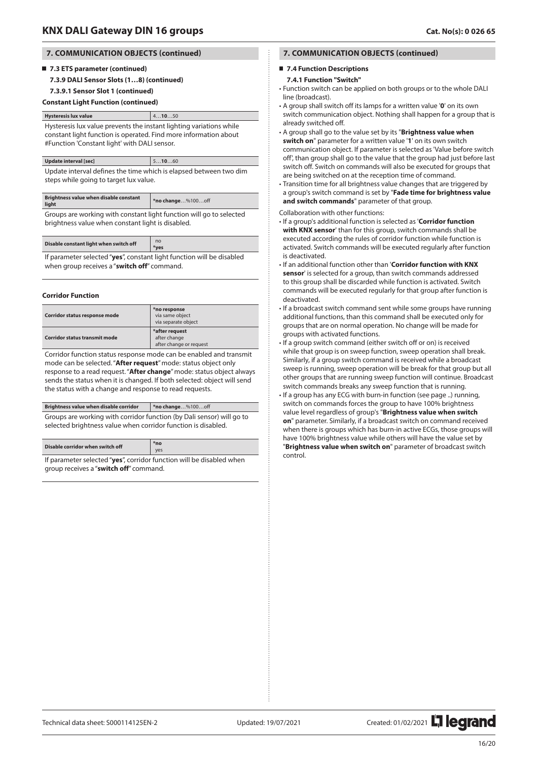## **7.3 ETS parameter (continued)**

**7.3.9 DALI Sensor Slots (1…8) (continued)**

### **7.3.9.1 Sensor Slot 1 (continued)**

#### **Constant Light Function (continued)**

### **Hysteresis lux value**  $4...10...50$ Hysteresis lux value prevents the instant lighting variations while constant light function is operated. Find more information about #Function 'Constant light' with DALI sensor.

## **Update interval [sec]** 5…**10**…60

Update interval defines the time which is elapsed between two dim steps while going to target lux value.

| <b>Brightness value when disable constant</b><br>light | *no change%100off |
|--------------------------------------------------------|-------------------|

Groups are working with constant light function will go to selected brightness value when constant light is disabled.

| Disable constant light when switch off                                 | no<br>*ves |
|------------------------------------------------------------------------|------------|
| If no romator colocted "vege" constant light function will be disolood |            |

If parameter selected "**yes**", constant light function will be disabled when group receives a "**switch off**" command.

#### **Corridor Function**

**Disable corridor when switch off** 

| Corridor status response mode        | *no response<br>via same object<br>via separate obiect    |
|--------------------------------------|-----------------------------------------------------------|
| <b>Corridor status transmit mode</b> | *after request<br>after change<br>after change or request |

Corridor function status response mode can be enabled and transmit mode can be selected. "**After request**" mode: status object only response to a read request. "**After change**" mode: status object always sends the status when it is changed. If both selected: object will send the status with a change and response to read requests.

| Brightness value when disable corridor                                                                                                 | $*$ no change%100off |
|----------------------------------------------------------------------------------------------------------------------------------------|----------------------|
| Groups are working with corridor function (by Dali sensor) will go to<br>selected brightness value when corridor function is disabled. |                      |
|                                                                                                                                        |                      |

 $V^{\alpha}$ If parameter selected "**yes**", corridor function will be disabled when group receives a "**switch off**" command.

## **7. COMMUNICATION OBJECTS (continued)**

### **7.4 Function Descriptions**

## **7.4.1 Function "Switch"**

- Function switch can be applied on both groups or to the whole DALI line (broadcast).
- A group shall switch off its lamps for a written value '**0**' on its own switch communication object. Nothing shall happen for a group that is already switched off.
- A group shall go to the value set by its "**Brightness value when switch on**" parameter for a written value '**1**' on its own switch communication object. If parameter is selected as 'Value before switch off', than group shall go to the value that the group had just before last switch off. Switch on commands will also be executed for groups that are being switched on at the reception time of command.
- Transition time for all brightness value changes that are triggered by a group's switch command is set by "**Fade time for brightness value and switch commands**" parameter of that group.

Collaboration with other functions:

- If a group's additional function is selected as '**Corridor function with KNX sensor**' than for this group, switch commands shall be executed according the rules of corridor function while function is activated. Switch commands will be executed regularly after function is deactivated.
- If an additional function other than '**Corridor function with KNX sensor**' is selected for a group, than switch commands addressed to this group shall be discarded while function is activated. Switch commands will be executed regularly for that group after function is deactivated.
- If a broadcast switch command sent while some groups have running additional functions, than this command shall be executed only for groups that are on normal operation. No change will be made for groups with activated functions.
- If a group switch command (either switch off or on) is received while that group is on sweep function, sweep operation shall break. Similarly, if a group switch command is received while a broadcast sweep is running, sweep operation will be break for that group but all other groups that are running sweep function will continue. Broadcast switch commands breaks any sweep function that is running. • If a group has any ECG with burn-in function (see page ..) running, switch on commands forces the group to have 100% brightness value level regardless of group's "**Brightness value when switch on**" parameter. Similarly, if a broadcast switch on command received when there is groups which has burn-in active ECGs, those groups will have 100% brightness value while others will have the value set by "**Brightness value when switch on**" parameter of broadcast switch control.

Technical data sheet: S000114125EN-2 Updated: 19/07/2021 Created: 01/02/2021 2021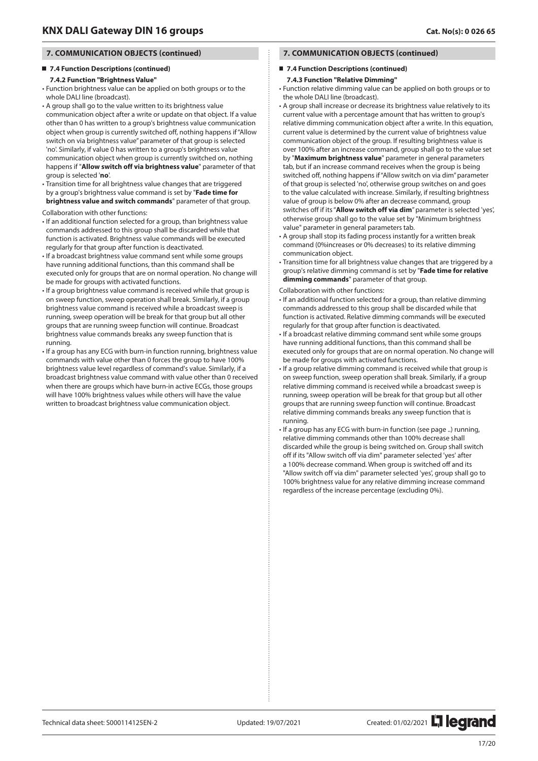## **7.4 Function Descriptions (continued)**

### **7.4.2 Function "Brightness Value"**

• Function brightness value can be applied on both groups or to the whole DALI line (broadcast).

- A group shall go to the value written to its brightness value communication object after a write or update on that object. If a value other than 0 has written to a group's brightness value communication object when group is currently switched off, nothing happens if "Allow switch on via brightness value" parameter of that group is selected 'no'. Similarly, if value 0 has written to a group's brightness value communication object when group is currently switched on, nothing happens if "**Allow switch off via brightness value**" parameter of that group is selected '**no**'.
- Transition time for all brightness value changes that are triggered by a group's brightness value command is set by "**Fade time for brightness value and switch commands**" parameter of that group.

Collaboration with other functions:

- If an additional function selected for a group, than brightness value commands addressed to this group shall be discarded while that function is activated. Brightness value commands will be executed regularly for that group after function is deactivated.
- If a broadcast brightness value command sent while some groups have running additional functions, than this command shall be executed only for groups that are on normal operation. No change will be made for groups with activated functions.
- If a group brightness value command is received while that group is on sweep function, sweep operation shall break. Similarly, if a group brightness value command is received while a broadcast sweep is running, sweep operation will be break for that group but all other groups that are running sweep function will continue. Broadcast brightness value commands breaks any sweep function that is running.
- If a group has any ECG with burn-in function running, brightness value commands with value other than 0 forces the group to have 100% brightness value level regardless of command's value. Similarly, if a broadcast brightness value command with value other than 0 received when there are groups which have burn-in active ECGs, those groups will have 100% brightness values while others will have the value written to broadcast brightness value communication object.

## **7. COMMUNICATION OBJECTS (continued)**

### **7.4 Function Descriptions (continued)**

#### **7.4.3 Function "Relative Dimming"**

• Function relative dimming value can be applied on both groups or to the whole DALI line (broadcast).

- A group shall increase or decrease its brightness value relatively to its current value with a percentage amount that has written to group's relative dimming communication object after a write. In this equation, current value is determined by the current value of brightness value communication object of the group. If resulting brightness value is over 100% after an increase command, group shall go to the value set by "**Maximum brightness value**" parameter in general parameters tab, but if an increase command receives when the group is being switched off, nothing happens if "Allow switch on via dim" parameter of that group is selected 'no', otherwise group switches on and goes to the value calculated with increase. Similarly, if resulting brightness value of group is below 0% after an decrease command, group switches off if its "**Allow switch off via dim**" parameter is selected 'yes', otherwise group shall go to the value set by "Minimum brightness value" parameter in general parameters tab.
- A group shall stop its fading process instantly for a written break command (0%increases or 0% decreases) to its relative dimming communication object.
- Transition time for all brightness value changes that are triggered by a group's relative dimming command is set by "**Fade time for relative dimming commands**" parameter of that group.

Collaboration with other functions:

- If an additional function selected for a group, than relative dimming commands addressed to this group shall be discarded while that function is activated. Relative dimming commands will be executed regularly for that group after function is deactivated.
- If a broadcast relative dimming command sent while some groups have running additional functions, than this command shall be executed only for groups that are on normal operation. No change will be made for groups with activated functions.
- If a group relative dimming command is received while that group is on sweep function, sweep operation shall break. Similarly, if a group relative dimming command is received while a broadcast sweep is running, sweep operation will be break for that group but all other groups that are running sweep function will continue. Broadcast relative dimming commands breaks any sweep function that is running.
- If a group has any ECG with burn-in function (see page ..) running, relative dimming commands other than 100% decrease shall discarded while the group is being switched on. Group shall switch off if its "Allow switch off via dim" parameter selected 'yes' after a 100% decrease command. When group is switched off and its "Allow switch off via dim" parameter selected 'yes', group shall go to 100% brightness value for any relative dimming increase command regardless of the increase percentage (excluding 0%).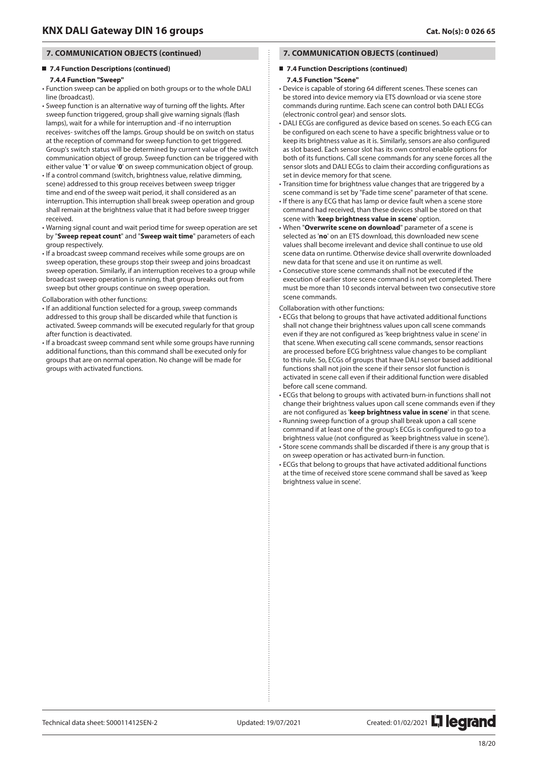## **7.4 Function Descriptions (continued)**

### **7.4.4 Function "Sweep"**

- Function sweep can be applied on both groups or to the whole DALI line (broadcast).
- Sweep function is an alternative way of turning off the lights. After sweep function triggered, group shall give warning signals (flash lamps), wait for a while for interruption and -if no interruption receives- switches off the lamps. Group should be on switch on status at the reception of command for sweep function to get triggered. Group's switch status will be determined by current value of the switch communication object of group. Sweep function can be triggered with either value '**1**' or value '**0**' on sweep communication object of group.
- If a control command (switch, brightness value, relative dimming, scene) addressed to this group receives between sweep trigger time and end of the sweep wait period, it shall considered as an interruption. This interruption shall break sweep operation and group shall remain at the brightness value that it had before sweep trigger received.
- Warning signal count and wait period time for sweep operation are set by "**Sweep repeat count**" and "**Sweep wait time**" parameters of each group respectively.
- If a broadcast sweep command receives while some groups are on sweep operation, these groups stop their sweep and joins broadcast sweep operation. Similarly, if an interruption receives to a group while broadcast sweep operation is running, that group breaks out from sweep but other groups continue on sweep operation.
- Collaboration with other functions:
- If an additional function selected for a group, sweep commands addressed to this group shall be discarded while that function is activated. Sweep commands will be executed regularly for that group after function is deactivated.
- If a broadcast sweep command sent while some groups have running additional functions, than this command shall be executed only for groups that are on normal operation. No change will be made for groups with activated functions.

## **7. COMMUNICATION OBJECTS (continued)**

### **7.4 Function Descriptions (continued)**

## **7.4.5 Function "Scene"**

- Device is capable of storing 64 different scenes. These scenes can be stored into device memory via ETS download or via scene store commands during runtime. Each scene can control both DALI ECGs (electronic control gear) and sensor slots.
- DALI ECGs are configured as device based on scenes. So each ECG can be configured on each scene to have a specific brightness value or to keep its brightness value as it is. Similarly, sensors are also configured as slot based. Each sensor slot has its own control enable options for both of its functions. Call scene commands for any scene forces all the sensor slots and DALI ECGs to claim their according configurations as set in device memory for that scene.
- Transition time for brightness value changes that are triggered by a scene command is set by "Fade time scene" parameter of that scene.
- If there is any ECG that has lamp or device fault when a scene store command had received, than these devices shall be stored on that scene with '**keep brightness value in scene**' option.
- When "**Overwrite scene on download**" parameter of a scene is selected as '**no**' on an ETS download, this downloaded new scene values shall become irrelevant and device shall continue to use old scene data on runtime. Otherwise device shall overwrite downloaded new data for that scene and use it on runtime as well.
- Consecutive store scene commands shall not be executed if the execution of earlier store scene command is not yet completed. There must be more than 10 seconds interval between two consecutive store scene commands.

#### Collaboration with other functions:

- ECGs that belong to groups that have activated additional functions shall not change their brightness values upon call scene commands even if they are not configured as 'keep brightness value in scene' in that scene. When executing call scene commands, sensor reactions are processed before ECG brightness value changes to be compliant to this rule. So, ECGs of groups that have DALI sensor based additional functions shall not join the scene if their sensor slot function is activated in scene call even if their additional function were disabled before call scene command.
- ECGs that belong to groups with activated burn-in functions shall not change their brightness values upon call scene commands even if they are not configured as '**keep brightness value in scene**' in that scene.
- Running sweep function of a group shall break upon a call scene command if at least one of the group's ECGs is configured to go to a brightness value (not configured as 'keep brightness value in scene').
- Store scene commands shall be discarded if there is any group that is on sweep operation or has activated burn-in function.
- ECGs that belong to groups that have activated additional functions at the time of received store scene command shall be saved as 'keep brightness value in scene'.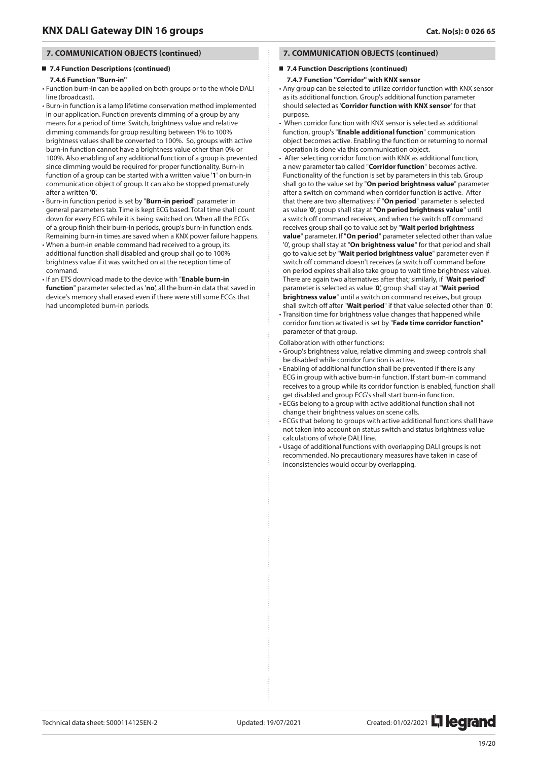## **7.4 Function Descriptions (continued)**

#### **7.4.6 Function "Burn-in"**

- Function burn-in can be applied on both groups or to the whole DALI line (broadcast).
- Burn-in function is a lamp lifetime conservation method implemented in our application. Function prevents dimming of a group by any means for a period of time. Switch, brightness value and relative dimming commands for group resulting between 1% to 100% brightness values shall be converted to 100%. So, groups with active burn-in function cannot have a brightness value other than 0% or 100%. Also enabling of any additional function of a group is prevented since dimming would be required for proper functionality. Burn-in function of a group can be started with a written value '**1**' on burn-in communication object of group. It can also be stopped prematurely after a written '**0**'.
- Burn-in function period is set by "**Burn-in period**" parameter in general parameters tab. Time is kept ECG based. Total time shall count down for every ECG while it is being switched on. When all the ECGs of a group finish their burn-in periods, group's burn-in function ends. Remaining burn-in times are saved when a KNX power failure happens.
- When a burn-in enable command had received to a group, its additional function shall disabled and group shall go to 100% brightness value if it was switched on at the reception time of command.
- If an ETS download made to the device with "**Enable burn-in function**" parameter selected as '**no**', all the burn-in data that saved in device's memory shall erased even if there were still some ECGs that had uncompleted burn-in periods.

## **7. COMMUNICATION OBJECTS (continued)**

### **7.4 Function Descriptions (continued)**

#### **7.4.7 Function "Corridor" with KNX sensor**

- Any group can be selected to utilize corridor function with KNX sensor as its additional function. Group's additional function parameter should selected as '**Corridor function with KNX sensor**' for that purpose.
- When corridor function with KNX sensor is selected as additional function, group's "**Enable additional function**" communication object becomes active. Enabling the function or returning to normal operation is done via this communication object.
- After selecting corridor function with KNX as additional function, a new parameter tab called "**Corridor function**" becomes active. Functionality of the function is set by parameters in this tab. Group shall go to the value set by "**On period brightness value**" parameter after a switch on command when corridor function is active. After that there are two alternatives; if "**On period**" parameter is selected as value '**0**', group shall stay at "**On period brightness value**" until a switch off command receives, and when the switch off command receives group shall go to value set by "**Wait period brightness value**" parameter. If "**On period**" parameter selected other than value '0', group shall stay at "**On brightness value**" for that period and shall go to value set by "**Wait period brightness value**" parameter even if switch off command doesn't receives (a switch off command before on period expires shall also take group to wait time brightness value). There are again two alternatives after that; similarly, if "**Wait period**" parameter is selected as value '**0**', group shall stay at "**Wait period brightness value**" until a switch on command receives, but group shall switch off after "**Wait period**" if that value selected other than '**0**'.
- Transition time for brightness value changes that happened while corridor function activated is set by "**Fade time corridor function**" parameter of that group.

Collaboration with other functions:

- Group's brightness value, relative dimming and sweep controls shall be disabled while corridor function is active.
- Enabling of additional function shall be prevented if there is any ECG in group with active burn-in function. If start burn-in command receives to a group while its corridor function is enabled, function shall get disabled and group ECG's shall start burn-in function.
- ECGs belong to a group with active additional function shall not change their brightness values on scene calls.
- ECGs that belong to groups with active additional functions shall have not taken into account on status switch and status brightness value calculations of whole DALI line.
- Usage of additional functions with overlapping DALI groups is not recommended. No precautionary measures have taken in case of inconsistencies would occur by overlapping.